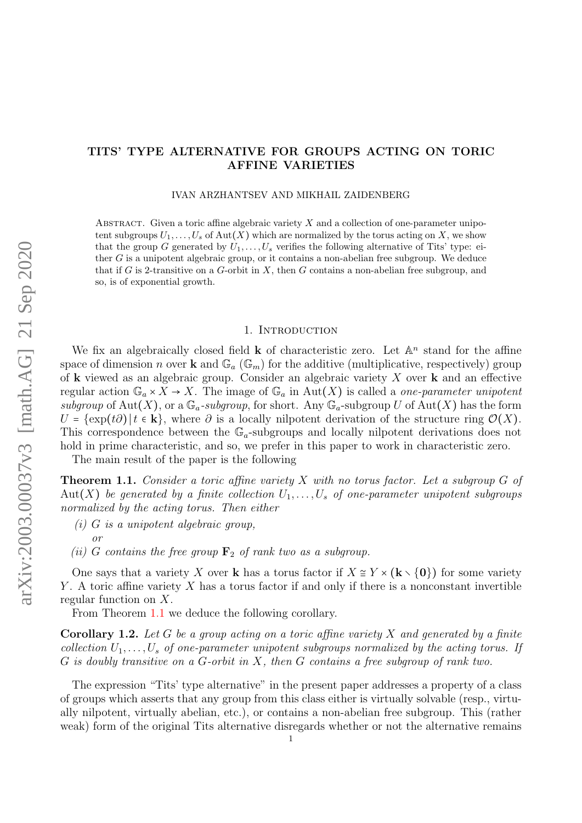# <span id="page-0-2"></span>TITS' TYPE ALTERNATIVE FOR GROUPS ACTING ON TORIC AFFINE VARIETIES

#### IVAN ARZHANTSEV AND MIKHAIL ZAIDENBERG

ABSTRACT. Given a toric affine algebraic variety  $X$  and a collection of one-parameter unipotent subgroups  $U_1, \ldots, U_s$  of Aut $(X)$  which are normalized by the torus acting on X, we show that the group G generated by  $U_1, \ldots, U_s$  verifies the following alternative of Tits' type: either  $G$  is a unipotent algebraic group, or it contains a non-abelian free subgroup. We deduce that if G is 2-transitive on a G-orbit in X, then G contains a non-abelian free subgroup, and so, is of exponential growth.

#### 1. INTRODUCTION

We fix an algebraically closed field **k** of characteristic zero. Let  $\mathbb{A}^n$  stand for the affine space of dimension n over **k** and  $\mathbb{G}_a$  ( $\mathbb{G}_m$ ) for the additive (multiplicative, respectively) group of **k** viewed as an algebraic group. Consider an algebraic variety  $X$  over **k** and an effective regular action  $\mathbb{G}_a \times X \to X$ . The image of  $\mathbb{G}_a$  in Aut $(X)$  is called a *one-parameter unipotent* subgroup of Aut(X), or a  $\mathbb{G}_a$ -subgroup, for short. Any  $\mathbb{G}_a$ -subgroup U of Aut(X) has the form  $U = {\exp(t\partial) | t \in \mathbf{k} }$ , where  $\partial$  is a locally nilpotent derivation of the structure ring  $\mathcal{O}(X)$ . This correspondence between the  $\mathbb{G}_a$ -subgroups and locally nilpotent derivations does not hold in prime characteristic, and so, we prefer in this paper to work in characteristic zero.

The main result of the paper is the following

<span id="page-0-0"></span>**Theorem 1.1.** Consider a toric affine variety  $X$  with no torus factor. Let a subgroup  $G$  of Aut(X) be generated by a finite collection  $U_1, \ldots, U_s$  of one-parameter unipotent subgroups normalized by the acting torus. Then either

 $(i)$  G is a unipotent algebraic group,

(ii) G contains the free group  $\mathbf{F}_2$  of rank two as a subgroup.

One says that a variety X over k has a torus factor if  $X \cong Y \times (\mathbf{k} \setminus \{0\})$  for some variety Y. A toric affine variety  $X$  has a torus factor if and only if there is a nonconstant invertible regular function on X.

From Theorem [1.1](#page-0-0) we deduce the following corollary.

<span id="page-0-1"></span>**Corollary 1.2.** Let G be a group acting on a toric affine variety X and generated by a finite collection  $U_1, \ldots, U_s$  of one-parameter unipotent subgroups normalized by the acting torus. If  $G$  is doubly transitive on a  $G$ -orbit in  $X$ , then  $G$  contains a free subgroup of rank two.

The expression "Tits' type alternative" in the present paper addresses a property of a class of groups which asserts that any group from this class either is virtually solvable (resp., virtually nilpotent, virtually abelian, etc.), or contains a non-abelian free subgroup. This (rather weak) form of the original Tits alternative disregards whether or not the alternative remains

or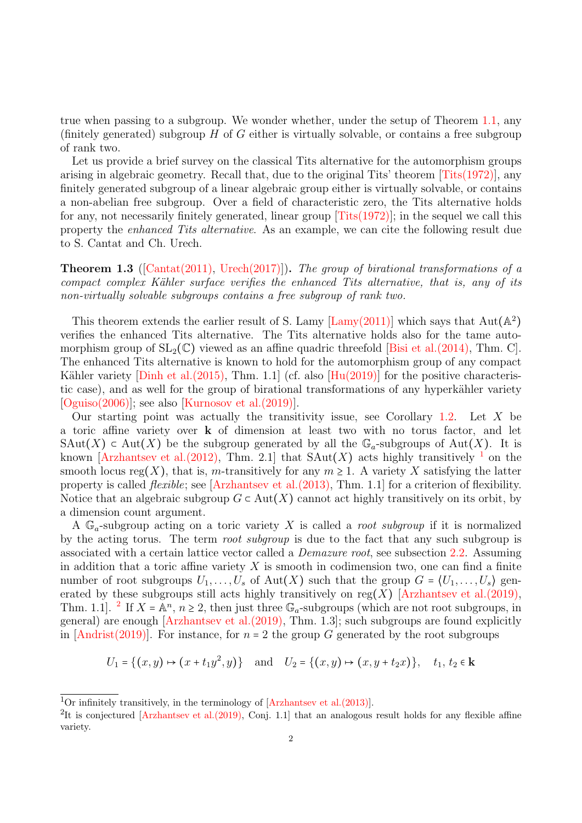true when passing to a subgroup. We wonder whether, under the setup of Theorem [1.1,](#page-0-0) any (finitely generated) subgroup  $H$  of  $G$  either is virtually solvable, or contains a free subgroup of rank two.

Let us provide a brief survey on the classical Tits alternative for the automorphism groups arising in algebraic geometry. Recall that, due to the original Tits' theorem  $[Tits(1972)]$ , any finitely generated subgroup of a linear algebraic group either is virtually solvable, or contains a non-abelian free subgroup. Over a field of characteristic zero, the Tits alternative holds for any, not necessarily finitely generated, linear group [\[Tits\(1972\)\]](#page-23-0); in the sequel we call this property the enhanced Tits alternative. As an example, we can cite the following result due to S. Cantat and Ch. Urech.

<span id="page-1-0"></span>**Theorem 1.3** ([\[Cantat\(2011\),](#page-22-0) [Urech\(2017\)\]](#page-23-1)). The group of birational transformations of a compact complex Kähler surface verifies the enhanced Tits alternative, that is, any of its non-virtually solvable subgroups contains a free subgroup of rank two.

This theorem extends the earlier result of S. Lamy [\[Lamy\(2011\)\]](#page-22-1) which says that  $Aut(A^2)$ verifies the enhanced Tits alternative. The Tits alternative holds also for the tame automorphism group of  $SL_2(\mathbb{C})$  viewed as an affine quadric threefold [\[Bisi et al.\(2014\),](#page-21-0) Thm. C]. The enhanced Tits alternative is known to hold for the automorphism group of any compact Kähler variety [Dinh et al.  $(2015)$ , Thm. 1.1] (cf. also [Hu $(2019)$ ] for the positive characteristic case), and as well for the group of birational transformations of any hyperkähler variety  $[O$ guiso $(2006)]$ ; see also  $[K$ urnosov et al. $(2019)]$ .

Our starting point was actually the transitivity issue, see Corollary [1.2.](#page-0-1) Let  $X$  be a toric affine variety over k of dimension at least two with no torus factor, and let SAut(X)  $\subset$  Aut(X) be the subgroup generated by all the  $\mathbb{G}_a$ -subgroups of Aut(X). It is known [\[Arzhantsev et al.\(2012\),](#page-21-1) Thm. 2.[1](#page-0-2)] that  $\text{SAut}(X)$  acts highly transitively <sup>1</sup> on the smooth locus reg(X), that is, m-transitively for any  $m \geq 1$ . A variety X satisfying the latter property is called *flexible*; see  $\left[Arzhantsev \right]$  at  $\left[2013\right)$ , Thm. 1.1 for a criterion of flexibility. Notice that an algebraic subgroup  $G \subset Aut(X)$  cannot act highly transitively on its orbit, by a dimension count argument.

A  $\mathbb{G}_a$ -subgroup acting on a toric variety X is called a *root subgroup* if it is normalized by the acting torus. The term *root subgroup* is due to the fact that any such subgroup is associated with a certain lattice vector called a Demazure root, see subsection [2.2.](#page-4-0) Assuming in addition that a toric affine variety  $X$  is smooth in codimension two, one can find a finite number of root subgroups  $U_1, \ldots, U_s$  of Aut $(X)$  such that the group  $G = (U_1, \ldots, U_s)$  gen-erated by these subgroups still acts highly transitively on reg(X) [\[Arzhantsev et al.\(2019\),](#page-21-3) Thm. 1.1. <sup>[2](#page-0-2)</sup> If  $X = \mathbb{A}^n$ ,  $n \geq 2$ , then just three  $\mathbb{G}_a$ -subgroups (which are not root subgroups, in general) are enough [\[Arzhantsev et al.\(2019\),](#page-21-3) Thm. 1.3]; such subgroups are found explicitly in  $[Andrist(2019)]$ . For instance, for  $n = 2$  the group G generated by the root subgroups

$$
U_1 = \{(x, y) \mapsto (x + t_1 y^2, y)\} \text{ and } U_2 = \{(x, y) \mapsto (x, y + t_2 x)\}, \quad t_1, t_2 \in \mathbf{k}
$$

<sup>&</sup>lt;sup>1</sup>Or infinitely transitively, in the terminology of  $[Arzhantsev et al. (2013)]$ .

<sup>&</sup>lt;sup>2</sup>It is conjectured [Arzhantsev et al.  $(2019)$ , Conj. 1.1] that an analogous result holds for any flexible affine variety.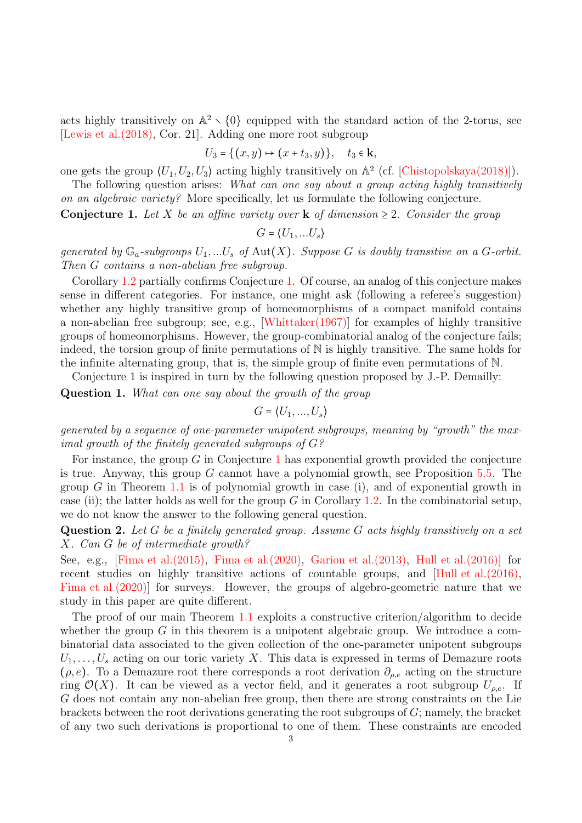acts highly transitively on  $\mathbb{A}^2 \setminus \{0\}$  equipped with the standard action of the 2-torus, see [\[Lewis et al.\(2018\),](#page-22-5) Cor. 21]. Adding one more root subgroup

$$
U_3 = \{(x, y) \mapsto (x + t_3, y)\}, \quad t_3 \in \mathbf{k},
$$

one gets the group  $\langle U_1, U_2, U_3 \rangle$  acting highly transitively on  $\mathbb{A}^2$  (cf. [\[Chistopolskaya\(2018\)\]](#page-22-6)).

The following question arises: What can one say about a group acting highly transitively on an algebraic variety? More specifically, let us formulate the following conjecture.

**Conjecture 1.** Let X be an affine variety over **k** of dimension  $\geq 2$ . Consider the group

$$
G = \langle U_1, \dots U_s \rangle
$$

generated by  $\mathbb{G}_a$ -subgroups  $U_1,...U_s$  of  $\text{Aut}(X)$ . Suppose G is doubly transitive on a G-orbit. Then G contains a non-abelian free subgroup.

Corollary [1.2](#page-0-1) partially confirms Conjecture [1.](#page-1-0) Of course, an analog of this conjecture makes sense in different categories. For instance, one might ask (following a referee's suggestion) whether any highly transitive group of homeomorphisms of a compact manifold contains a non-abelian free subgroup; see, e.g., [\[Whittaker\(1967\)\]](#page-23-3) for examples of highly transitive groups of homeomorphisms. However, the group-combinatorial analog of the conjecture fails; indeed, the torsion group of finite permutations of  $\mathbb N$  is highly transitive. The same holds for the infinite alternating group, that is, the simple group of finite even permutations of N.

Conjecture 1 is inspired in turn by the following question proposed by J.-P. Demailly:

Question 1. What can one say about the growth of the group

$$
G = \langle U_1, ..., U_s \rangle
$$

generated by a sequence of one-parameter unipotent subgroups, meaning by "growth" the maximal growth of the finitely generated subgroups of G?

For instance, the group  $G$  in Conjecture [1](#page-1-0) has exponential growth provided the conjecture is true. Anyway, this group  $G$  cannot have a polynomial growth, see Proposition [5.5.](#page-20-0) The group G in Theorem [1.1](#page-0-0) is of polynomial growth in case (i), and of exponential growth in case (ii); the latter holds as well for the group G in Corollary [1.2.](#page-0-1) In the combinatorial setup, we do not know the answer to the following general question.

Question 2. Let G be a finitely generated group. Assume G acts highly transitively on a set X. Can G be of intermediate growth?

See, e.g., [\[Fima et al.\(2015\),](#page-22-7) [Fima et al.\(2020\),](#page-22-8) [Garion et al.\(2013\),](#page-22-9) [Hull et al.\(2016\)\]](#page-22-10) for recent studies on highly transitive actions of countable groups, and [\[Hull et al.\(2016\),](#page-22-10) [Fima et al.\(2020\)\]](#page-22-8) for surveys. However, the groups of algebro-geometric nature that we study in this paper are quite different.

The proof of our main Theorem [1.1](#page-0-0) exploits a constructive criterion/algorithm to decide whether the group  $G$  in this theorem is a unipotent algebraic group. We introduce a combinatorial data associated to the given collection of the one-parameter unipotent subgroups  $U_1, \ldots, U_s$  acting on our toric variety X. This data is expressed in terms of Demazure roots  $(\rho, e)$ . To a Demazure root there corresponds a root derivation  $\partial_{\rho, e}$  acting on the structure ring  $\mathcal{O}(X)$ . It can be viewed as a vector field, and it generates a root subgroup  $U_{\rho,e}$ . If G does not contain any non-abelian free group, then there are strong constraints on the Lie brackets between the root derivations generating the root subgroups of  $G$ ; namely, the bracket of any two such derivations is proportional to one of them. These constraints are encoded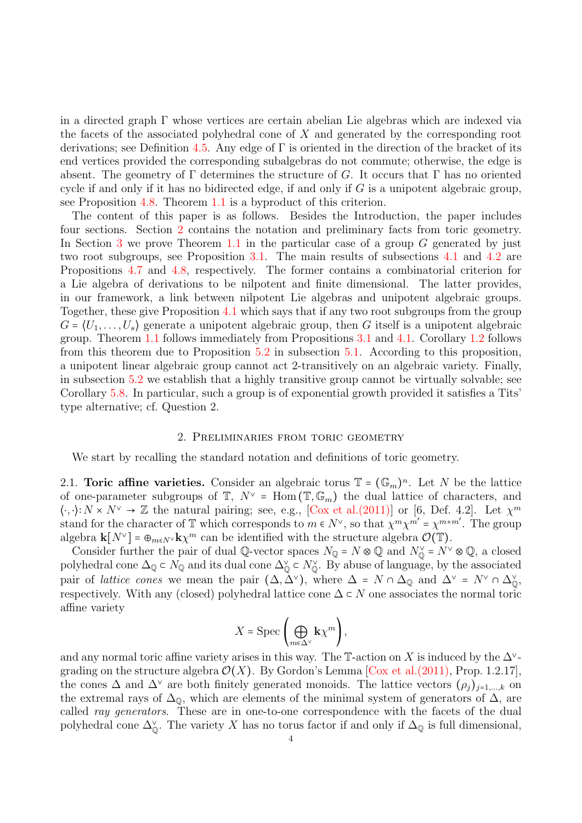in a directed graph Γ whose vertices are certain abelian Lie algebras which are indexed via the facets of the associated polyhedral cone of  $X$  and generated by the corresponding root derivations; see Definition [4.5.](#page-11-0) Any edge of  $\Gamma$  is oriented in the direction of the bracket of its end vertices provided the corresponding subalgebras do not commute; otherwise, the edge is absent. The geometry of  $\Gamma$  determines the structure of G. It occurs that  $\Gamma$  has no oriented cycle if and only if it has no bidirected edge, if and only if  $G$  is a unipotent algebraic group, see Proposition [4.8.](#page-15-0) Theorem [1.1](#page-0-0) is a byproduct of this criterion.

The content of this paper is as follows. Besides the Introduction, the paper includes four sections. Section [2](#page-3-0) contains the notation and preliminary facts from toric geometry. In Section [3](#page-6-0) we prove Theorem [1.1](#page-0-0) in the particular case of a group  $G$  generated by just two root subgroups, see Proposition [3.1.](#page-6-1) The main results of subsections [4.1](#page-10-0) and [4.2](#page-15-1) are Propositions [4.7](#page-12-0) and [4.8,](#page-15-0) respectively. The former contains a combinatorial criterion for a Lie algebra of derivations to be nilpotent and finite dimensional. The latter provides, in our framework, a link between nilpotent Lie algebras and unipotent algebraic groups. Together, these give Proposition [4.1](#page-9-0) which says that if any two root subgroups from the group  $G = (U_1, \ldots, U_s)$  generate a unipotent algebraic group, then G itself is a unipotent algebraic group. Theorem [1.1](#page-0-0) follows immediately from Propositions [3.1](#page-6-1) and [4.1.](#page-9-0) Corollary [1.2](#page-0-1) follows from this theorem due to Proposition [5.2](#page-19-0) in subsection [5.1.](#page-19-1) According to this proposition, a unipotent linear algebraic group cannot act 2-transitively on an algebraic variety. Finally, in subsection [5.2](#page-19-2) we establish that a highly transitive group cannot be virtually solvable; see Corollary [5.8.](#page-21-5) In particular, such a group is of exponential growth provided it satisfies a Tits' type alternative; cf. Question 2.

#### 2. Preliminaries from toric geometry

<span id="page-3-0"></span>We start by recalling the standard notation and definitions of toric geometry.

<span id="page-3-1"></span>2.1. Toric affine varieties. Consider an algebraic torus  $\mathbb{T} = (\mathbb{G}_m)^n$ . Let N be the lattice of one-parameter subgroups of  $\mathbb{T}$ ,  $N^{\vee}$  = Hom  $(\mathbb{T}, \mathbb{G}_m)$  the dual lattice of characters, and  $\langle \cdot, \cdot \rangle: N \times N^{\vee} \to \mathbb{Z}$  the natural pairing; see, e.g., [\[Cox et al.\(2011\)\]](#page-22-11) or [6, Def. 4.2]. Let  $\chi^m$ stand for the character of T which corresponds to  $m \in N^{\vee}$ , so that  $\chi^m \chi^{m'} = \chi^{m+m'}$ . The group algebra  $\mathbf{k}[N^{\vee}] = \bigoplus_{m \in N^{\vee}} \mathbf{k} \chi^m$  can be identified with the structure algebra  $\mathcal{O}(\mathbb{T})$ .

Consider further the pair of dual Q-vector spaces  $N_{\mathbb{Q}} = N \otimes \mathbb{Q}$  and  $N_{\mathbb{Q}}^{\vee} = N^{\vee} \otimes \mathbb{Q}$ , a closed polyhedral cone  $\Delta_{\mathbb{Q}} \subset N_{\mathbb{Q}}$  and its dual cone  $\Delta_{\mathbb{Q}} \subset N_{\mathbb{Q}}^{\vee}$ . By abuse of language, by the associated pair of *lattice cones* we mean the pair  $(\Delta, \tilde{\Delta}^{\vee})$ , where  $\Delta = N \cap \Delta_{\mathbb{Q}}$  and  $\Delta^{\vee} = N^{\vee} \cap \Delta_{\mathbb{Q}}^{\vee}$ , respectively. With any (closed) polyhedral lattice cone  $\Delta \subset N$  one associates the normal toric affine variety

$$
X = \operatorname{Spec} \left( \bigoplus_{m \in \Delta^{\vee}} \mathbf{k} \chi^m \right),
$$

and any normal toric affine variety arises in this way. The  $\mathbb{T}$ -action on X is induced by the  $\Delta^{\vee}$ grading on the structure algebra  $\mathcal{O}(X)$ . By Gordon's Lemma [Cox et al. (2011), Prop. 1.2.17], the cones  $\Delta$  and  $\Delta^{\vee}$  are both finitely generated monoids. The lattice vectors  $(\rho_i)_{i=1,\dots,k}$  on the extremal rays of  $\Delta_{\mathbb{Q}}$ , which are elements of the minimal system of generators of  $\Delta$ , are called ray generators. These are in one-to-one correspondence with the facets of the dual polyhedral cone  $\Delta_{\mathbb{Q}}^{\vee}$ . The variety X has no torus factor if and only if  $\Delta_{\mathbb{Q}}$  is full dimensional,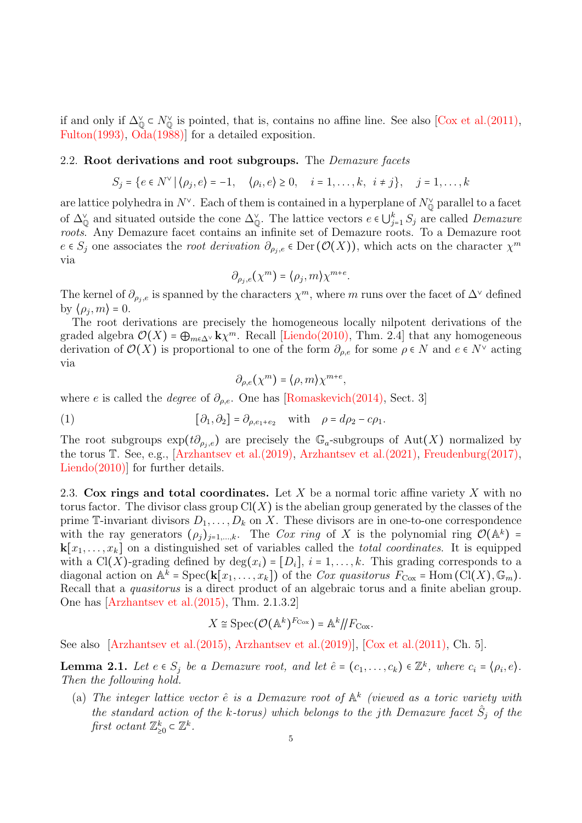if and only if  $\Delta_{\mathbb{Q}}^{\vee} \subset N_{\mathbb{Q}}^{\vee}$  is pointed, that is, contains no affine line. See also [\[Cox et al.\(2011\),](#page-22-11) [Fulton\(1993\),](#page-22-12) [Oda\(1988\)\]](#page-23-4) for a detailed exposition.

#### <span id="page-4-0"></span>2.2. Root derivations and root subgroups. The *Demazure facets*

$$
S_j = \{ e \in N^{\vee} \mid \langle \rho_j, e \rangle = -1, \quad \langle \rho_i, e \rangle \ge 0, \quad i = 1, \dots, k, \quad i \ne j \}, \quad j = 1, \dots, k
$$

are lattice polyhedra in  $N^{\vee}$ . Each of them is contained in a hyperplane of  $N^{\vee}_{\mathbb{Q}}$  parallel to a facet of  $\Delta_{\mathbb{Q}}^{\vee}$  and situated outside the cone  $\Delta_{\mathbb{Q}}^{\vee}$ . The lattice vectors  $e \in \bigcup_{j=1}^{k} S_j$  are called Demazure roots. Any Demazure facet contains an infinite set of Demazure roots. To a Demazure root  $e \in S_j$  one associates the root derivation  $\partial_{\rho_j,e} \in \mathrm{Der}(\mathcal{O}(X))$ , which acts on the character  $\chi^m$ via

$$
\partial_{\rho_j,e}(\chi^m) = \langle \rho_j, m \rangle \chi^{m+e}.
$$

The kernel of  $\partial_{\rho_j,e}$  is spanned by the characters  $\chi^m$ , where m runs over the facet of  $\Delta^{\vee}$  defined by  $\langle \rho_j, m \rangle = 0$ .

The root derivations are precisely the homogeneous locally nilpotent derivations of the graded algebra  $\mathcal{O}(X) = \bigoplus_{m \in \Delta^{\vee}} k_{X}^{m}$ . Recall [\[Liendo\(2010\),](#page-22-13) Thm. 2.4] that any homogeneous derivation of  $\mathcal{O}(X)$  is proportional to one of the form  $\partial_{\rho,e}$  for some  $\rho \in N$  and  $e \in N^{\vee}$  acting via

<span id="page-4-3"></span>
$$
\partial_{\rho,e}(\chi^m) = \langle \rho, m \rangle \chi^{m+e},
$$

where e is called the *degree* of  $\partial_{\rho,e}$ . One has [\[Romaskevich\(2014\),](#page-23-5) Sect. 3]

(1) 
$$
[\partial_1, \partial_2] = \partial_{\rho, e_1 + e_2} \quad \text{with} \quad \rho = d\rho_2 - c\rho_1.
$$

The root subgroups  $\exp(t\partial_{\rho_j,e})$  are precisely the  $\mathbb{G}_a$ -subgroups of Aut(X) normalized by the torus T. See, e.g., [\[Arzhantsev et al.\(2019\),](#page-21-3) [Arzhantsev et al.\(2021\),](#page-21-6) [Freudenburg\(2017\),](#page-22-14) [Liendo\(2010\)\]](#page-22-13) for further details.

<span id="page-4-1"></span>2.3. Cox rings and total coordinates. Let X be a normal toric affine variety X with no torus factor. The divisor class group  $Cl(X)$  is the abelian group generated by the classes of the prime T-invariant divisors  $D_1, \ldots, D_k$  on X. These divisors are in one-to-one correspondence with the ray generators  $(\rho_j)_{j=1,\dots,k}$ . The Cox ring of X is the polynomial ring  $\mathcal{O}(\mathbb{A}^k)$  =  $\mathbf{k}[x_1,\ldots,x_k]$  on a distinguished set of variables called the *total coordinates*. It is equipped with a Cl(X)-grading defined by  $\deg(x_i) = [D_i], i = 1, \ldots, k$ . This grading corresponds to a diagonal action on  $\mathbb{A}^k$  = Spec( $\mathbf{k}[x_1,\ldots,x_k]$ ) of the *Cox quasitorus*  $F_{\text{Cox}}$  = Hom (Cl(X),  $\mathbb{G}_m$ ). Recall that a quasitorus is a direct product of an algebraic torus and a finite abelian group. One has [\[Arzhantsev et al.\(2015\),](#page-21-7) Thm. 2.1.3.2]

$$
X \cong \operatorname{Spec}(\mathcal{O}(\mathbb{A}^k)^{F_{\text{Cox}}}) = \mathbb{A}^k / F_{\text{Cox}}.
$$

See also [\[Arzhantsev et al.\(2015\),](#page-21-7) [Arzhantsev et al.\(2019\)\]](#page-21-3), [\[Cox et al.\(2011\),](#page-22-11) Ch. 5].

<span id="page-4-2"></span>**Lemma 2.1.** Let  $e \in S_j$  be a Demazure root, and let  $\hat{e} = (c_1, \ldots, c_k) \in \mathbb{Z}^k$ , where  $c_i = (\rho_i, e)$ . Then the following hold.

(a) The integer lattice vector  $\hat{e}$  is a Demazure root of  $\mathbb{A}^k$  (viewed as a toric variety with the standard action of the k-torus) which belongs to the jth Demazure facet  $\hat{S}_j$  of the first octant  $\mathbb{Z}_{\geq 0}^k \subset \mathbb{Z}^k$ .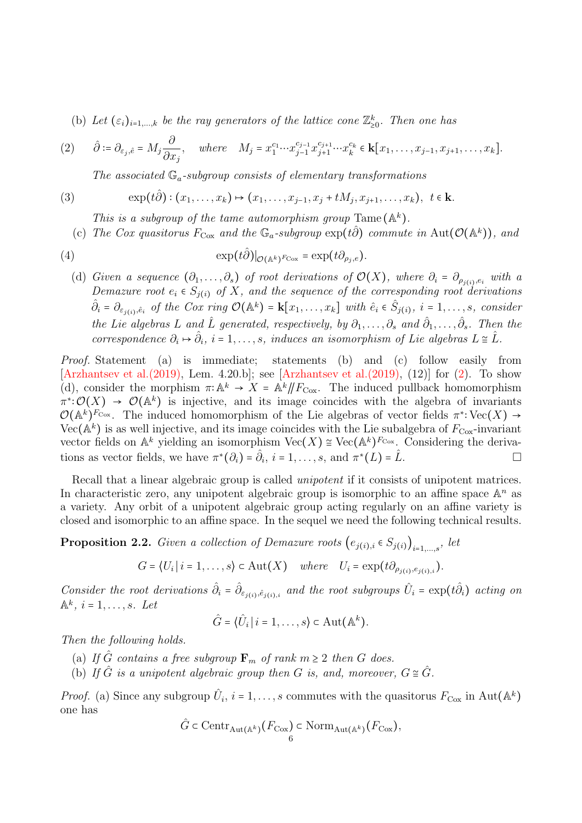(b) Let  $(\varepsilon_i)_{i=1,\dots,k}$  be the ray generators of the lattice cone  $\mathbb{Z}_{\geq 0}^k$ . Then one has

<span id="page-5-0"></span>
$$
(2) \qquad \hat{\partial} \coloneqq \partial_{\varepsilon_j, \hat{e}} = M_j \frac{\partial}{\partial x_j}, \quad \text{where} \quad M_j = x_1^{c_1} \cdots x_{j-1}^{c_{j-1}} x_{j+1}^{c_{j+1}} \cdots x_k^{c_k} \in \mathbf{k}[x_1, \ldots, x_{j-1}, x_{j+1}, \ldots, x_k].
$$

<span id="page-5-2"></span>The associated  $\mathbb{G}_a$ -subgroup consists of elementary transformations

(3) 
$$
\exp(t\hat{\partial}) : (x_1, ..., x_k) \mapsto (x_1, ..., x_{j-1}, x_j + tM_j, x_{j+1}, ..., x_k), \ t \in \mathbf{k}.
$$

This is a subgroup of the tame automorphism group Tame  $(\mathbb{A}^k)$ .

(c) The Cox quasitorus  $F_{\text{Cox}}$  and the  $\mathbb{G}_a$ -subgroup  $\exp(t\hat{\partial})$  commute in Aut $(\mathcal{O}(\mathbb{A}^k))$ , and

(4) 
$$
\exp(t\hat{\partial})|_{\mathcal{O}(\mathbb{A}^k)^{F_{\text{Cox}}}} = \exp(t\partial_{\rho_j,e}).
$$

(d) Given a sequence  $(\partial_1,\ldots,\partial_s)$  of root derivations of  $\mathcal{O}(X)$ , where  $\partial_i = \partial_{\rho_{j(i)},e_i}$  with a Demazure root  $e_i \in S_{j(i)}$  of X, and the sequence of the corresponding root derivations  $\hat{\partial}_i = \partial_{\varepsilon_{j(i)},\hat{e}_i}$  of the Cox ring  $\mathcal{O}(\mathbb{A}^k) = \mathbf{k}[x_1,\ldots,x_k]$  with  $\hat{e}_i \in \hat{S}_{j(i)}, i = 1,\ldots,s$ , consider the Lie algebras L and  $\hat{L}$  generated, respectively, by  $\partial_1,\ldots,\partial_s$  and  $\hat{\partial}_1,\ldots,\hat{\partial}_s$ . Then the correspondence  $\partial_i \mapsto \hat{\partial}_i$ ,  $i = 1, \ldots, s$ , induces an isomorphism of Lie algebras  $L \cong \hat{L}$ .

Proof. Statement (a) is immediate; statements (b) and (c) follow easily from [\[Arzhantsev et al.\(2019\),](#page-21-3) Lem. 4.20.b]; see [\[Arzhantsev et al.\(2019\),](#page-21-3) (12)] for [\(2\)](#page-5-0). To show (d), consider the morphism  $\pi: \mathbb{A}^k \to X = \mathbb{A}^k / \! / F_{\text{Cox}}$ . The induced pullback homomorphism  $\pi^*:\mathcal{O}(X) \to \mathcal{O}(\mathbb{A}^k)$  is injective, and its image coincides with the algebra of invariants  $\mathcal{O}(\mathbb{A}^k)^{F_{\text{Cox}}}$ . The induced homomorphism of the Lie algebras of vector fields  $\pi^*:\text{Vec}(X) \to$ Vec( $\mathbb{A}^k$ ) is as well injective, and its image coincides with the Lie subalgebra of  $F_{\text{Cox}}$ -invariant vector fields on  $\mathbb{A}^k$  yielding an isomorphism  $\text{Vec}(X) \cong \text{Vec}(\mathbb{A}^k)^{F_{\text{Cox}}}$ . Considering the derivations as vector fields, we have  $\pi^*(\partial_i) = \hat{\partial}_i$ ,  $i = 1, \ldots, s$ , and  $\pi^*(L) = \hat{L}$ .

Recall that a linear algebraic group is called *unipotent* if it consists of unipotent matrices. In characteristic zero, any unipotent algebraic group is isomorphic to an affine space  $\mathbb{A}^n$  as a variety. Any orbit of a unipotent algebraic group acting regularly on an affine variety is closed and isomorphic to an affine space. In the sequel we need the following technical results.

<span id="page-5-1"></span>**Proposition 2.2.** Given a collection of Demazure roots  $(e_{j(i),i} \in S_{j(i)})_{i=1,...,s}$ , let

$$
G = \langle U_i | i = 1, \ldots, s \rangle \subset \text{Aut}(X) \quad \text{where} \quad U_i = \exp(t \partial_{\rho_{j(i)}, e_{j(i), i}}).
$$

Consider the root derivations  $\hat{\partial}_i = \hat{\partial}_{\varepsilon_{j(i)}, \hat{\varepsilon}_{j(i),i}}$  and the root subgroups  $\hat{U}_i = \exp(t\hat{\partial}_i)$  acting on  $\mathbb{A}^k$ ,  $i = 1, \ldots, s$ . Let

$$
\hat{G} = \langle \hat{U}_i | i = 1, \ldots, s \rangle \subset \text{Aut}(\mathbb{A}^k).
$$

Then the following holds.

- (a) If  $\hat{G}$  contains a free subgroup  $\mathbf{F}_m$  of rank  $m \geq 2$  then G does.
- (b) If  $\hat{G}$  is a unipotent algebraic group then G is, and, moreover,  $G \cong \hat{G}$ .

*Proof.* (a) Since any subgroup  $\hat{U}_i$ ,  $i = 1, \ldots, s$  commutes with the quasitorus  $F_{\text{Cox}}$  in Aut $(\mathbb{A}^k)$ one has

$$
\hat{G} \subset \mathrm{Centr}_{\mathrm{Aut}(\mathbb{A}^k)}(F_{\mathrm{Cox}}) \subset \mathrm{Norm}_{\mathrm{Aut}(\mathbb{A}^k)}(F_{\mathrm{Cox}}),
$$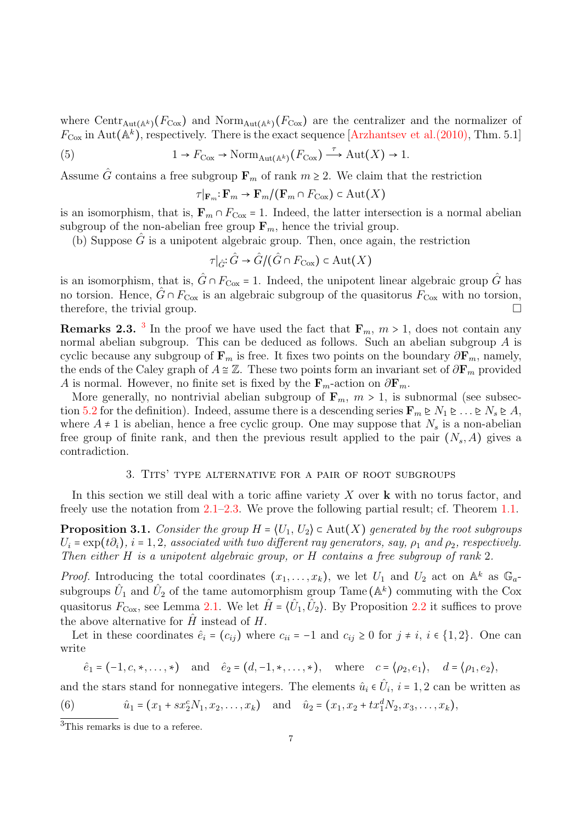where Centr<sub>Aut(Ak)</sub>( $F_{\text{Cox}}$ ) and Norm<sub>Aut(Ak)</sub>( $F_{\text{Cox}}$ ) are the centralizer and the normalizer of  $F_{\text{Cox}}$  in Aut( $\mathbb{A}^k$ ), respectively. There is the exact sequence [\[Arzhantsev et al.\(2010\),](#page-21-8) Thm. 5.1]

(5) 
$$
1 \to F_{\text{Cox}} \to \text{Norm}_{\text{Aut}(\mathbb{A}^k)}(F_{\text{Cox}}) \xrightarrow{\tau} \text{Aut}(X) \to 1.
$$

Assume  $\hat{G}$  contains a free subgroup  $\mathbf{F}_m$  of rank  $m \geq 2$ . We claim that the restriction

<span id="page-6-3"></span>
$$
\tau|_{\mathbf{F}_m}: \mathbf{F}_m \to \mathbf{F}_m/(\mathbf{F}_m \cap F_{\text{Cox}}) \subset \text{Aut}(X)
$$

is an isomorphism, that is,  $\mathbf{F}_m \cap F_{\text{Cox}} = 1$ . Indeed, the latter intersection is a normal abelian subgroup of the non-abelian free group  $\mathbf{F}_m$ , hence the trivial group.

(b) Suppose  $\hat{G}$  is a unipotent algebraic group. Then, once again, the restriction

$$
\tau|_{\hat{G}}:\hat{G}\to \hat{G}/(\hat{G}\cap F_{\text{Cox}})\subset \text{Aut}(X)
$$

is an isomorphism, that is,  $\hat{G} \cap F_{\text{Cox}} = 1$ . Indeed, the unipotent linear algebraic group  $\hat{G}$  has no torsion. Hence,  $\hat{G} \cap F_{\text{Cox}}$  is an algebraic subgroup of the quasitorus  $F_{\text{Cox}}$  with no torsion, therefore, the trivial group.  $\Box$ 

**Remarks 2.[3](#page-0-2).** <sup>3</sup> In the proof we have used the fact that  $\mathbf{F}_m$ ,  $m > 1$ , does not contain any normal abelian subgroup. This can be deduced as follows. Such an abelian subgroup A is cyclic because any subgroup of  $\mathbf{F}_m$  is free. It fixes two points on the boundary  $\partial \mathbf{F}_m$ , namely, the ends of the Caley graph of  $A \cong \mathbb{Z}$ . These two points form an invariant set of  $\partial \mathbf{F}_m$  provided A is normal. However, no finite set is fixed by the  $\mathbf{F}_m$ -action on  $\partial \mathbf{F}_m$ .

More generally, no nontrivial abelian subgroup of  $\mathbf{F}_m$ ,  $m > 1$ , is subnormal (see subsec-tion [5.2](#page-19-2) for the definition). Indeed, assume there is a descending series  $\mathbf{F}_m \trianglerighteq N_1 \trianglerighteq \ldots \trianglerighteq N_s \trianglerighteq A$ , where  $A \neq 1$  is abelian, hence a free cyclic group. One may suppose that  $N_s$  is a non-abelian free group of finite rank, and then the previous result applied to the pair  $(N_s, A)$  gives a contradiction.

### 3. Tits' type alternative for a pair of root subgroups

<span id="page-6-0"></span>In this section we still deal with a toric affine variety  $X$  over  $\bf{k}$  with no torus factor, and freely use the notation from [2.1](#page-3-1)[–2.3.](#page-4-1) We prove the following partial result; cf. Theorem [1.1.](#page-0-0)

<span id="page-6-1"></span>**Proposition 3.1.** Consider the group  $H = \langle U_1, U_2 \rangle \subset \text{Aut}(X)$  generated by the root subgroups  $U_i = \exp(t\partial_i)$ ,  $i = 1, 2$ , associated with two different ray generators, say,  $\rho_1$  and  $\rho_2$ , respectively. Then either H is a unipotent algebraic group, or H contains a free subgroup of rank 2.

*Proof.* Introducing the total coordinates  $(x_1, \ldots, x_k)$ , we let  $U_1$  and  $U_2$  act on  $\mathbb{A}^k$  as  $\mathbb{G}_a$ subgroups  $\hat{U}_1$  and  $\hat{U}_2$  of the tame automorphism group Tame ( $\mathbb{A}^k$ ) commuting with the Cox quasitorus  $F_{\text{Cox}}$ , see Lemma [2.1.](#page-4-2) We let  $\hat{H} = \langle \hat{U}_1, \hat{U}_2 \rangle$ . By Proposition [2.2](#page-5-1) it suffices to prove the above alternative for  $\hat{H}$  instead of  $H$ .

Let in these coordinates  $\hat{e}_i = (c_{ij})$  where  $c_{ii} = -1$  and  $c_{ij} \ge 0$  for  $j \ne i, i \in \{1, 2\}$ . One can write

<span id="page-6-2"></span>
$$
\hat{e}_1 = (-1, c, \ast, \dots, \ast)
$$
 and  $\hat{e}_2 = (d, -1, \ast, \dots, \ast)$ , where  $c = (\rho_2, e_1), d = (\rho_1, e_2),$ 

and the stars stand for nonnegative integers. The elements  $\hat{u}_i \in \hat{U}_i$ ,  $i = 1, 2$  can be written as  $\overline{1}$   $\overline{2}$   $\overline{1}$   $\overline{2}$   $\overline{1}$   $\overline{2}$   $\overline{1}$   $\overline{2}$   $\overline{1}$   $\overline{2}$   $\overline{1}$   $\overline{2}$   $\overline{1}$   $\overline{2}$   $\overline{2}$   $\overline{2}$   $\overline{1}$   $\overline{2}$   $\overline{2}$   $\overline{2}$   $\overline{2}$   $\overline{2}$   $\overline{2}$   $\overline{2}$   $\overline{$ 

(6) 
$$
\hat{u}_1 = (x_1 + sx_2^c N_1, x_2, \dots, x_k)
$$
 and  $\hat{u}_2 = (x_1, x_2 + tx_1^d N_2, x_3, \dots, x_k),$ 

<sup>&</sup>lt;sup>3</sup>This remarks is due to a referee.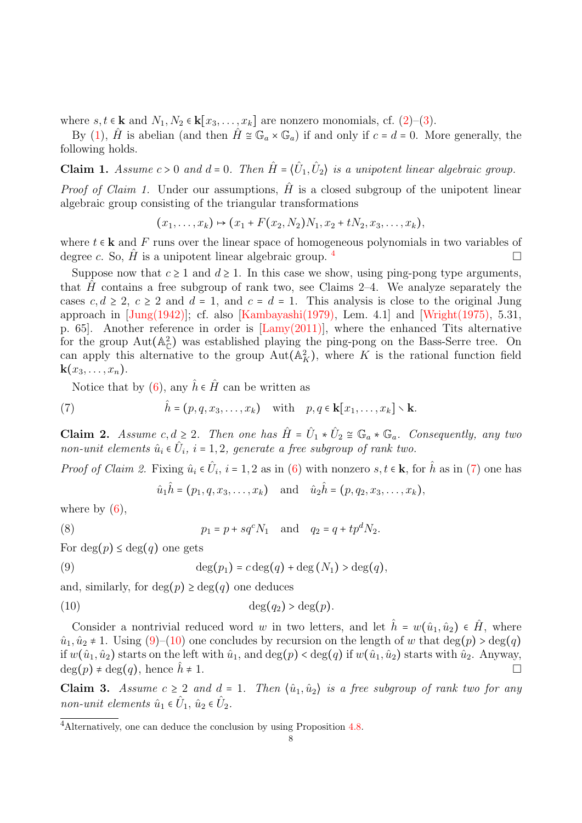where  $s, t \in \mathbf{k}$  and  $N_1, N_2 \in \mathbf{k}[x_3, \ldots, x_k]$  are nonzero monomials, cf. [\(2\)](#page-5-0)–[\(3\)](#page-5-2).

By [\(1\)](#page-4-3),  $\hat{H}$  is abelian (and then  $\hat{H} \cong \mathbb{G}_a \times \mathbb{G}_a$ ) if and only if  $c = d = 0$ . More generally, the following holds.

**Claim 1.** Assume  $c > 0$  and  $d = 0$ . Then  $\hat{H} = \langle \hat{U}_1, \hat{U}_2 \rangle$  is a unipotent linear algebraic group.

*Proof of Claim 1.* Under our assumptions,  $\hat{H}$  is a closed subgroup of the unipotent linear algebraic group consisting of the triangular transformations

$$
(x_1,\ldots,x_k)\mapsto (x_1+F(x_2,N_2)N_1,x_2+tN_2,x_3,\ldots,x_k),
$$

where  $t \in \mathbf{k}$  and F runs over the linear space of homogeneous polynomials in two variables of degree c. So,  $\hat{H}$  is a unipotent linear algebraic group.  $\frac{4}{1}$  $\frac{4}{1}$  $\frac{4}{1}$ 

Suppose now that  $c \geq 1$  and  $d \geq 1$ . In this case we show, using ping-pong type arguments, that H contains a free subgroup of rank two, see Claims 2–4. We analyze separately the cases  $c, d \geq 2$ ,  $c \geq 2$  and  $d = 1$ , and  $c = d = 1$ . This analysis is close to the original Jung approach in  $\text{[Jung(1942)]};$  cf. also  $\text{[Kambayashi(1979)]},$  Lem. 4.1 and  $\text{[Wright(1975)]}, 5.31,$ p. 65]. Another reference in order is [\[Lamy\(2011\)\]](#page-22-1), where the enhanced Tits alternative for the group  $Aut(A_C^2)$  was established playing the ping-pong on the Bass-Serre tree. On can apply this alternative to the group  $Aut(A_K^2)$ , where K is the rational function field  $\mathbf{k}(x_3,\ldots,x_n).$ 

Notice that by [\(6\)](#page-6-2), any  $\hat{h} \in \hat{H}$  can be written as

(7) 
$$
\hat{h} = (p, q, x_3, \dots, x_k) \text{ with } p, q \in \mathbf{k}[x_1, \dots, x_k] \setminus \mathbf{k}.
$$

**Claim 2.** Assume  $c, d \geq 2$ . Then one has  $\hat{H} = \hat{U}_1 * \hat{U}_2 \cong \mathbb{G}_a * \mathbb{G}_a$ . Consequently, any two non-unit elements  $\hat{u}_i \in \hat{U}_i$ ,  $i = 1, 2$ , generate a free subgroup of rank two.

*Proof of Claim 2.* Fixing  $\hat{u}_i \in \hat{U}_i$ ,  $i = 1, 2$  as in [\(6\)](#page-6-2) with nonzero  $s, t \in \mathbf{k}$ , for  $\hat{h}$  as in [\(7\)](#page-7-0) one has

<span id="page-7-2"></span><span id="page-7-1"></span><span id="page-7-0"></span>
$$
\hat{u}_1 \hat{h} = (p_1, q, x_3, \dots, x_k)
$$
 and  $\hat{u}_2 \hat{h} = (p, q_2, x_3, \dots, x_k),$ 

where by  $(6)$ ,

(8) 
$$
p_1 = p + sq^c N_1
$$
 and  $q_2 = q + tp^d N_2$ .

For  $deg(p) \leq deg(q)$  one gets

(9) 
$$
\deg(p_1) = c \deg(q) + \deg(N_1) > \deg(q),
$$

and, similarly, for  $deg(p) \geq deg(q)$  one deduces

$$
(10) \t\t \t\t deg(q2) > deg(p).
$$

Consider a nontrivial reduced word w in two letters, and let  $\hat{h} = w(\hat{u}_1, \hat{u}_2) \in \hat{H}$ , where  $\hat{u}_1, \hat{u}_2 \neq 1$ . Using  $(9)$ – $(10)$  one concludes by recursion on the length of w that  $deg(p) > deg(q)$ if  $w(\hat{u}_1, \hat{u}_2)$  starts on the left with  $\hat{u}_1$ , and  $\deg(p) < \deg(q)$  if  $w(\hat{u}_1, \hat{u}_2)$  starts with  $\hat{u}_2$ . Anyway,  $\deg(p) \neq \deg(q)$ , hence  $h \neq 1$ .

Claim 3. Assume  $c \geq 2$  and  $d = 1$ . Then  $\langle \hat{u}_1, \hat{u}_2 \rangle$  is a free subgroup of rank two for any non-unit elements  $\hat{u}_1 \in \hat{U}_1$ ,  $\hat{u}_2 \in \hat{U}_2$ .

<sup>4</sup>Alternatively, one can deduce the conclusion by using Proposition [4.8.](#page-15-0)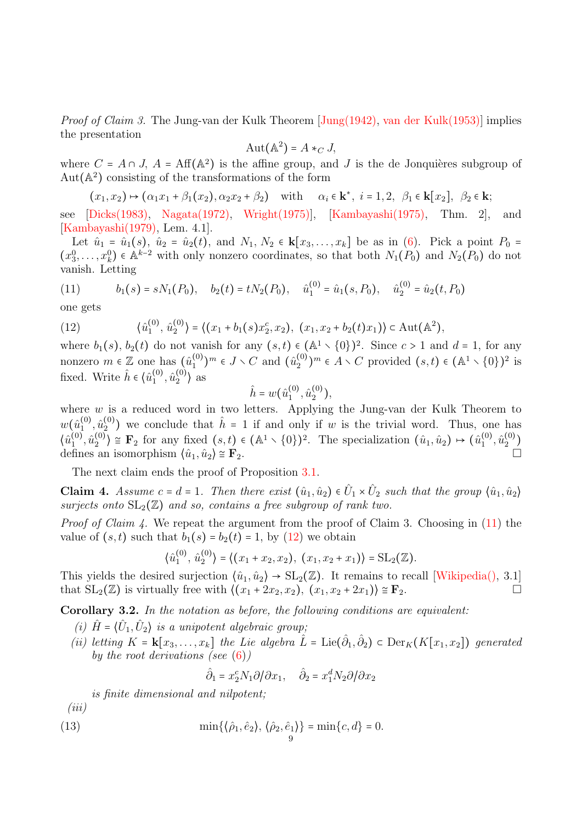Proof of Claim 3. The Jung-van der Kulk Theorem [\[Jung\(1942\),](#page-22-15) [van der Kulk\(1953\)\]](#page-23-7) implies the presentation

$$
Aut(\mathbb{A}^2) = A *_{C} J,
$$

where  $C = A \cap J$ ,  $A = Aff(A^2)$  is the affine group, and J is the de Jonquières subgroup of Aut $(A^2)$  consisting of the transformations of the form

 $(x_1, x_2) \mapsto (\alpha_1 x_1 + \beta_1 (x_2), \alpha_2 x_2 + \beta_2)$  with  $\alpha_i \in \mathbf{k}^*, i = 1, 2, \beta_1 \in \mathbf{k}[x_2], \beta_2 \in \mathbf{k};$ 

see [\[Dicks\(1983\),](#page-22-17) [Nagata\(1972\),](#page-23-8) [Wright\(1975\)\]](#page-23-6), [\[Kambayashi\(1975\),](#page-22-18) Thm. 2], and [\[Kambayashi\(1979\),](#page-22-16) Lem. 4.1].

Let  $\hat{u}_1 = \hat{u}_1(s)$ ,  $\hat{u}_2 = \hat{u}_2(t)$ , and  $N_1, N_2 \in \mathbf{k}[x_3, \dots, x_k]$  be as in [\(6\)](#page-6-2). Pick a point  $P_0 =$  $(x_3^0,\ldots,x_k^0)$   $\in \mathbb{A}^{k-2}$  with only nonzero coordinates, so that both  $N_1(P_0)$  and  $N_2(P_0)$  do not vanish. Letting

<span id="page-8-0"></span>(11) 
$$
b_1(s) = sN_1(P_0), \quad b_2(t) = tN_2(P_0), \quad \hat{u}_1^{(0)} = \hat{u}_1(s, P_0), \quad \hat{u}_2^{(0)} = \hat{u}_2(t, P_0)
$$

one gets

<span id="page-8-1"></span>(12) 
$$
\langle \hat{u}_1^{(0)}, \hat{u}_2^{(0)} \rangle = \langle (x_1 + b_1(s)x_2^c, x_2), (x_1, x_2 + b_2(t)x_1) \rangle \subset \text{Aut}(\mathbb{A}^2),
$$

where  $b_1(s)$ ,  $b_2(t)$  do not vanish for any  $(s,t) \in (\mathbb{A}^1 \setminus \{0\})^2$ . Since  $c > 1$  and  $d = 1$ , for any nonzero  $m \in \mathbb{Z}$  one has  $(\hat{u}_1^{(0)}$  $\binom{0}{1}$ <sup>m</sup>  $\in J \setminus C$  and  $(\hat{u}_2^{(0)}$  ${0 \choose 2}$ <sup>m</sup>  $\in A \setminus C$  provided  $(s,t) \in (\mathbb{A}^1 \setminus \{0\})^2$  is fixed. Write  $\hat{h} \in \langle \hat{u}_1^{(0)} \rangle$  $\hat{u}^{(0)}_{1}, \hat{u}^{(0)}_{2}$  $\binom{0}{2}$  as

$$
\hat{h} = w(\hat{u}_1^{(0)}, \hat{u}_2^{(0)}),
$$

where  $w$  is a reduced word in two letters. Applying the Jung-van der Kulk Theorem to  $w(\hat{u}^{(0)}_1$  $\hat{\mathfrak{u}}_1^{(0)}, \hat{\mathfrak{u}}_2^{(0)}$  $2<sup>(0)</sup>$  we conclude that  $\hat{h} = 1$  if and only if w is the trivial word. Thus, one has  $\langle \hat{u}^{(0)}_{1}$  $\hat u_1^{\left(0\right)},\hat u_2^{\left(0\right)}$  $\binom{0}{2}$   $\cong$  **F**<sub>2</sub> for any fixed  $(s,t) \in (\mathbb{A}^1 \setminus \{0\})^2$ . The specialization  $(\hat{u}_1, \hat{u}_2) \mapsto (\hat{u}_1^{(0)})^2$  $\hat{u}_1^{(0)}, \hat{u}_2^{(0)}$  $\binom{(0)}{2}$ defines an isomorphism  $\langle \hat{u}_1, \hat{u}_2 \rangle \cong \mathbf{F}_2$ .

The next claim ends the proof of Proposition [3.1.](#page-6-1)

**Claim 4.** Assume  $c = d = 1$ . Then there exist  $(\hat{u}_1, \hat{u}_2) \in \hat{U}_1 \times \hat{U}_2$  such that the group  $\langle \hat{u}_1, \hat{u}_2 \rangle$ surjects onto  $SL_2(\mathbb{Z})$  and so, contains a free subgroup of rank two.

Proof of Claim 4. We repeat the argument from the proof of Claim 3. Choosing in [\(11\)](#page-8-0) the value of  $(s, t)$  such that  $b_1(s) = b_2(t) = 1$ , by  $(12)$  we obtain

$$
\langle \hat{u}_1^{(0)}, \hat{u}_2^{(0)} \rangle = \langle (x_1 + x_2, x_2), (x_1, x_2 + x_1) \rangle = \text{SL}_2(\mathbb{Z}).
$$

This yields the desired surjection  $\langle \hat{u}_1, \hat{u}_2 \rangle \rightarrow SL_2(\mathbb{Z})$ . It remains to recall [\[Wikipedia\(\),](#page-23-9) 3.1] that  $SL_2(\mathbb{Z})$  is virtually free with  $\langle (x_1 + 2x_2, x_2), (x_1, x_2 + 2x_1) \rangle \cong \mathbf{F}_2$ .

<span id="page-8-2"></span>Corollary 3.2. In the notation as before, the following conditions are equivalent:

- (i)  $\hat{H} = \langle \hat{U}_1, \hat{U}_2 \rangle$  is a unipotent algebraic group;
- (ii) letting  $K = \mathbf{k}[x_3,\ldots,x_k]$  the Lie algebra  $\hat{L} = \text{Lie}(\hat{\partial}_1, \hat{\partial}_2) \subset \text{Der}_K(K[x_1, x_2])$  generated by the root derivations (see  $(6)$ )

<span id="page-8-3"></span>
$$
\hat{\partial}_1 = x_2^c N_1 \partial / \partial x_1, \quad \hat{\partial}_2 = x_1^d N_2 \partial / \partial x_2
$$

is finite dimensional and nilpotent;

 $(iii)$ 

(13) 
$$
\min\{\langle \hat{\rho}_1, \hat{e}_2 \rangle, \langle \hat{\rho}_2, \hat{e}_1 \rangle\} = \min\{c, d\} = 0.
$$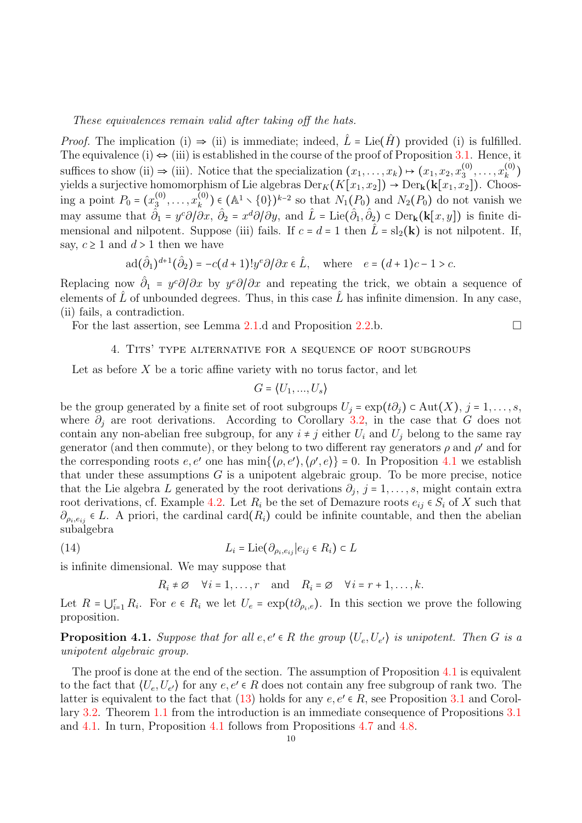#### These equivalences remain valid after taking off the hats.

*Proof.* The implication (i)  $\Rightarrow$  (ii) is immediate; indeed,  $\hat{L} = \text{Lie}(\hat{H})$  provided (i) is fulfilled. The equivalence (i)  $\Leftrightarrow$  (iii) is established in the course of the proof of Proposition [3.1.](#page-6-1) Hence, it suffices to show (ii)  $\Rightarrow$  (iii). Notice that the specialization  $(x_1, \ldots, x_k) \mapsto (x_1, x_2, x_3^{(0)})$  $x_k^{(0)}, \ldots, x_k^{(0)}$  $\binom{(0)}{k}$ yields a surjective homomorphism of Lie algebras  $\mathrm{Der}_K(K[x_1, x_2]) \to \mathrm{Der}_k(\mathbf{k}[x_1, x_2])$ . Choosing a point  $P_0 = (x_3^{(0)}$  $x_3^{(0)}, \ldots, x_k^{(0)}$  $k<sup>(0)</sup>$  ∈ (A<sup>1</sup> \ {0})<sup>k-2</sup> so that  $N_1(P_0)$  and  $N_2(P_0)$  do not vanish we may assume that  $\hat{\partial}_1 = y^c \partial/\partial x$ ,  $\hat{\partial}_2 = x^d \partial/\partial y$ , and  $\hat{L} = \text{Lie}(\hat{\partial}_1, \hat{\partial}_2) \subset \text{Der}_k(k[x, y])$  is finite dimensional and nilpotent. Suppose (iii) fails. If  $c = d = 1$  then  $\hat{L} = sl_2(\mathbf{k})$  is not nilpotent. If, say,  $c \geq 1$  and  $d > 1$  then we have

$$
\operatorname{ad}(\hat{\partial}_1)^{d+1}(\hat{\partial}_2) = -c(d+1)!y^e\partial/\partial x \in \hat{L}, \quad \text{where} \quad e = (d+1)c - 1 > c.
$$

Replacing now  $\hat{\partial}_1 = y^c \partial/\partial x$  by  $y^e \partial/\partial x$  and repeating the trick, we obtain a sequence of elements of  $\hat{L}$  of unbounded degrees. Thus, in this case  $\hat{L}$  has infinite dimension. In any case, (ii) fails, a contradiction.

<span id="page-9-2"></span>For the last assertion, see Lemma [2.1.](#page-4-2)d and Proposition [2.2.](#page-5-1)b.

### 4. Tits' type alternative for a sequence of root subgroups

Let as before  $X$  be a toric affine variety with no torus factor, and let

$$
G = \langle U_1, ..., U_s \rangle
$$

be the group generated by a finite set of root subgroups  $U_j = \exp(t\partial_i) \subset \text{Aut}(X)$ ,  $j = 1, \ldots, s$ , where  $\partial_j$  are root derivations. According to Corollary [3.2,](#page-8-2) in the case that G does not contain any non-abelian free subgroup, for any  $i \neq j$  either  $U_i$  and  $U_j$  belong to the same ray generator (and then commute), or they belong to two different ray generators  $\rho$  and  $\rho'$  and for the corresponding roots  $e, e'$  one has  $\min{\{\langle \rho, e' \rangle, \langle \rho', e \rangle\}} = 0$ . In Proposition [4.1](#page-9-0) we establish that under these assumptions  $G$  is a unipotent algebraic group. To be more precise, notice that the Lie algebra L generated by the root derivations  $\partial_j$ ,  $j = 1, \ldots, s$ , might contain extra root derivations, cf. Example [4.2.](#page-10-1) Let  $R_i$  be the set of Demazure roots  $e_{ij} \in S_i$  of X such that  $\partial_{\rho_i,e_{ij}} \in L$ . A priori, the cardinal card $(R_i)$  could be infinite countable, and then the abelian subalgebra

(14) 
$$
L_i = \text{Lie}(\partial_{\rho_i, e_{ij}} | e_{ij} \in R_i) \subset L
$$

is infinite dimensional. We may suppose that

<span id="page-9-1"></span> $R_i \neq \emptyset$   $\forall i = 1, \ldots, r$  and  $R_i = \emptyset$   $\forall i = r + 1, \ldots, k$ .

Let  $R = \bigcup_{i=1}^r R_i$ . For  $e \in R_i$  we let  $U_e = \exp(t\partial_{\rho_i,e})$ . In this section we prove the following proposition.

<span id="page-9-0"></span>**Proposition 4.1.** Suppose that for all  $e, e' \in R$  the group  $\langle U_e, U_{e'} \rangle$  is unipotent. Then G is a unipotent algebraic group.

The proof is done at the end of the section. The assumption of Proposition [4.1](#page-9-0) is equivalent to the fact that  $\langle U_e, U_{e'} \rangle$  for any  $e, e' \in R$  does not contain any free subgroup of rank two. The latter is equivalent to the fact that  $(13)$  holds for any  $e, e' \in R$ , see Proposition [3.1](#page-6-1) and Corollary [3.2.](#page-8-2) Theorem [1.1](#page-0-0) from the introduction is an immediate consequence of Propositions [3.1](#page-6-1) and [4.1.](#page-9-0) In turn, Proposition [4.1](#page-9-0) follows from Propositions [4.7](#page-12-0) and [4.8.](#page-15-0)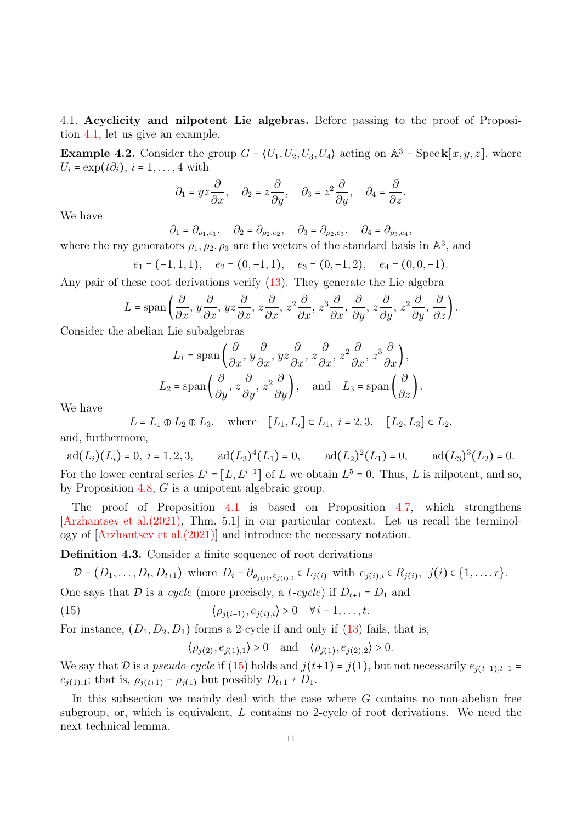<span id="page-10-0"></span>4.1. Acyclicity and nilpotent Lie algebras. Before passing to the proof of Proposition [4.1,](#page-9-0) let us give an example.

<span id="page-10-1"></span>**Example 4.2.** Consider the group  $G = (U_1, U_2, U_3, U_4)$  acting on  $\mathbb{A}^3$  = Speck $[x, y, z]$ , where  $U_i = \exp(t\partial_i), i = 1, \ldots, 4$  with

$$
\partial_1 = yz\frac{\partial}{\partial x}, \quad \partial_2 = z\frac{\partial}{\partial y}, \quad \partial_3 = z^2\frac{\partial}{\partial y}, \quad \partial_4 = \frac{\partial}{\partial z}.
$$

We have

 $\partial_1 = \partial_{\rho_1, e_1}, \quad \partial_2 = \partial_{\rho_2, e_2}, \quad \partial_3 = \partial_{\rho_2, e_3}, \quad \partial_4 = \partial_{\rho_3, e_4},$ 

where the ray generators  $\rho_1, \rho_2, \rho_3$  are the vectors of the standard basis in  $\mathbb{A}^3$ , and

$$
e_1 = (-1, 1, 1), \quad e_2 = (0, -1, 1), \quad e_3 = (0, -1, 2), \quad e_4 = (0, 0, -1).
$$

Any pair of these root derivations verify [\(13\)](#page-8-3). They generate the Lie algebra

$$
L = \text{span}\left(\frac{\partial}{\partial x}, y\frac{\partial}{\partial x}, yz\frac{\partial}{\partial x}, z\frac{\partial}{\partial x}, z^2\frac{\partial}{\partial x}, z^3\frac{\partial}{\partial x}, \frac{\partial}{\partial y}, z\frac{\partial}{\partial y}, z^2\frac{\partial}{\partial y}, \frac{\partial}{\partial z}\right).
$$

Consider the abelian Lie subalgebras

$$
L_1 = \text{span}\left(\frac{\partial}{\partial x}, y\frac{\partial}{\partial x}, yz\frac{\partial}{\partial x}, z\frac{\partial}{\partial x}, z^2\frac{\partial}{\partial x}, z^3\frac{\partial}{\partial x}\right),
$$
  

$$
L_2 = \text{span}\left(\frac{\partial}{\partial y}, z\frac{\partial}{\partial y}, z^2\frac{\partial}{\partial y}\right), \text{ and } L_3 = \text{span}\left(\frac{\partial}{\partial z}\right).
$$

We have

$$
L = L_1 \oplus L_2 \oplus L_3
$$
, where  $[L_1, L_i] \subset L_1$ ,  $i = 2, 3$ ,  $[L_2, L_3] \subset L_2$ ,

and, furthermore,

 $ad(L_i)(L_i) = 0, i = 1, 2, 3,$   $ad(L_3)^4(L_1) = 0,$   $ad(L_2)^2(L_1) = 0,$   $ad(L_3)^3(L_2) = 0.$ For the lower central series  $L^i = [L, L^{i-1}]$  of L we obtain  $L^5 = 0$ . Thus, L is nilpotent, and so, by Proposition [4.8,](#page-15-0) G is a unipotent algebraic group.

The proof of Proposition [4.1](#page-9-0) is based on Proposition [4.7,](#page-12-0) which strengthens [\[Arzhantsev et al.\(2021\),](#page-21-6) Thm. 5.1] in our particular context. Let us recall the terminology of [\[Arzhantsev et al.\(2021\)\]](#page-21-6) and introduce the necessary notation.

Definition 4.3. Consider a finite sequence of root derivations

$$
\mathcal{D} = (D_1, \dots, D_t, D_{t+1}) \text{ where } D_i = \partial_{\rho_{j(i)}, e_{j(i), i}} \in L_{j(i)} \text{ with } e_{j(i), i} \in R_{j(i)}, \ j(i) \in \{1, \dots, r\}.
$$
  
One says that  $\mathcal{D}$  is a *cycle* (more precisely a *t cycle*) if  $D_i = D_i$  and

One says that 
$$
\mathcal D
$$
 is a *cycle* (more precisely, a *t-cycle*) if  $D_{t+1} = D_1$  and

(15) 
$$
\langle \rho_{j(i+1)}, e_{j(i),i} \rangle > 0 \quad \forall i = 1, \ldots, t.
$$

For instance,  $(D_1, D_2, D_1)$  forms a 2-cycle if and only if [\(13\)](#page-8-3) fails, that is,

<span id="page-10-2"></span> $\langle \rho_{j(2)}, e_{j(1),1} \rangle > 0$  and  $\langle \rho_{j(1)}, e_{j(2),2} \rangle > 0$ .

We say that D is a pseudo-cycle if [\(15\)](#page-10-2) holds and  $j(t+1) = j(1)$ , but not necessarily  $e_{j(t+1),t+1} =$  $e_{j(1),1}$ ; that is,  $\rho_{j(t+1)} = \rho_{j(1)}$  but possibly  $D_{t+1} \neq D_1$ .

In this subsection we mainly deal with the case where  $G$  contains no non-abelian free subgroup, or, which is equivalent, L contains no 2-cycle of root derivations. We need the next technical lemma.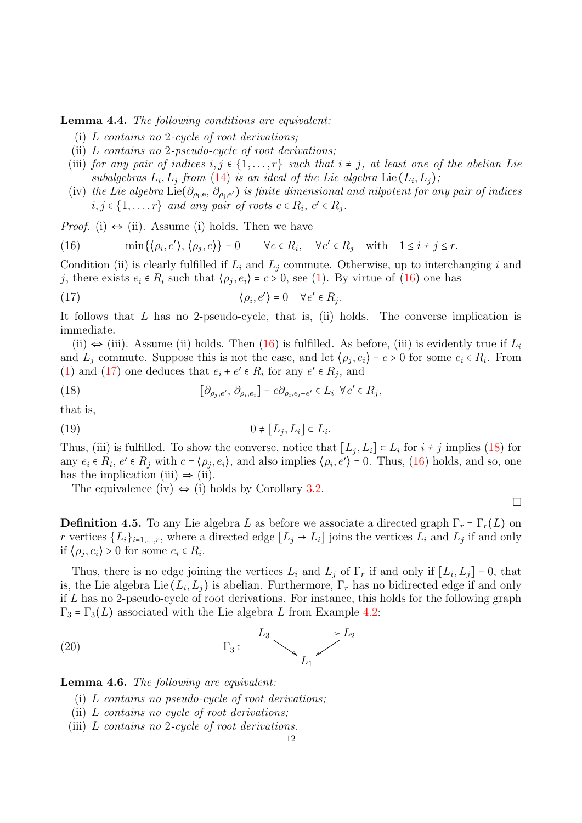<span id="page-11-4"></span>Lemma 4.4. The following conditions are equivalent:

- (i) L contains no 2-cycle of root derivations;
- (ii) L contains no 2-pseudo-cycle of root derivations;
- (iii) for any pair of indices  $i, j \in \{1, \ldots, r\}$  such that  $i \neq j$ , at least one of the abelian Lie subalgebras  $L_i, L_j$  from [\(14\)](#page-9-1) is an ideal of the Lie algebra Lie  $(L_i, L_j)$ ;
- (iv) the Lie algebra Lie( $\partial_{\rho_i,e}, \partial_{\rho_j,e'}$ ) is finite dimensional and nilpotent for any pair of indices  $i, j \in \{1, \ldots, r\}$  and any pair of roots  $e \in R_i$ ,  $e' \in R_j$ .

*Proof.* (i)  $\Leftrightarrow$  (ii). Assume (i) holds. Then we have

<span id="page-11-1"></span>(16) 
$$
\min\{\langle \rho_i, e' \rangle, \langle \rho_j, e \rangle\} = 0 \quad \forall e \in R_i, \quad \forall e' \in R_j \quad \text{with} \quad 1 \leq i \neq j \leq r.
$$

Condition (ii) is clearly fulfilled if  $L_i$  and  $L_j$  commute. Otherwise, up to interchanging i and j, there exists  $e_i \in R_i$  such that  $\langle \rho_j, e_i \rangle = c > 0$ , see [\(1\)](#page-4-3). By virtue of [\(16\)](#page-11-1) one has

<span id="page-11-2"></span>(17) 
$$
\langle \rho_i, e' \rangle = 0 \quad \forall e' \in R_j.
$$

It follows that  $L$  has no 2-pseudo-cycle, that is, (ii) holds. The converse implication is immediate.

(ii)  $\Leftrightarrow$  (iii). Assume (ii) holds. Then [\(16\)](#page-11-1) is fulfilled. As before, (iii) is evidently true if  $L_i$ and  $L_j$  commute. Suppose this is not the case, and let  $\langle \rho_j, e_i \rangle = c > 0$  for some  $e_i \in R_i$ . From [\(1\)](#page-4-3) and [\(17\)](#page-11-2) one deduces that  $e_i + e' \in R_i$  for any  $e' \in R_j$ , and

<span id="page-11-3"></span>(18) 
$$
[\partial_{\rho_j,e'}, \partial_{\rho_i,e_i}] = c \partial_{\rho_i,e_i+e'} \in L_i \ \forall e' \in R_j,
$$

that is,

<span id="page-11-6"></span>
$$
(19) \t\t 0 \neq [L_j, L_i] \subset L_i.
$$

Thus, (iii) is fulfilled. To show the converse, notice that  $[L_j, L_i] \subset L_i$  for  $i \neq j$  implies [\(18\)](#page-11-3) for any  $e_i \in R_i$ ,  $e' \in R_j$  with  $c = \langle \rho_j, e_i \rangle$ , and also implies  $\langle \rho_i, e' \rangle = 0$ . Thus, [\(16\)](#page-11-1) holds, and so, one has the implication (iii)  $\Rightarrow$  (ii).

The equivalence (iv)  $\Leftrightarrow$  (i) holds by Corollary [3.2.](#page-8-2)

<span id="page-11-0"></span>**Definition 4.5.** To any Lie algebra L as before we associate a directed graph  $\Gamma_r = \Gamma_r(L)$  on r vertices  $\{L_i\}_{i=1,\dots,r}$ , where a directed edge  $[L_j \to L_i]$  joins the vertices  $L_i$  and  $L_j$  if and only if  $\langle \rho_j, e_i \rangle > 0$  for some  $e_i \in R_i$ .

Thus, there is no edge joining the vertices  $L_i$  and  $L_j$  of  $\Gamma_r$  if and only if  $[L_i, L_j] = 0$ , that is, the Lie algebra Lie  $(L_i, L_j)$  is abelian. Furthermore,  $\Gamma_r$  has no bidirected edge if and only if L has no 2-pseudo-cycle of root derivations. For instance, this holds for the following graph  $\Gamma_3 = \Gamma_3(L)$  associated with the Lie algebra L from Example [4.2:](#page-10-1)

(20) Γ<sup>3</sup> ∶ L3 \$ /L<sup>2</sup> z L1

<span id="page-11-5"></span>Lemma 4.6. The following are equivalent:

- (i) L contains no pseudo-cycle of root derivations;
- (ii) L contains no cycle of root derivations;
- (iii) L contains no 2-cycle of root derivations.

 $\Box$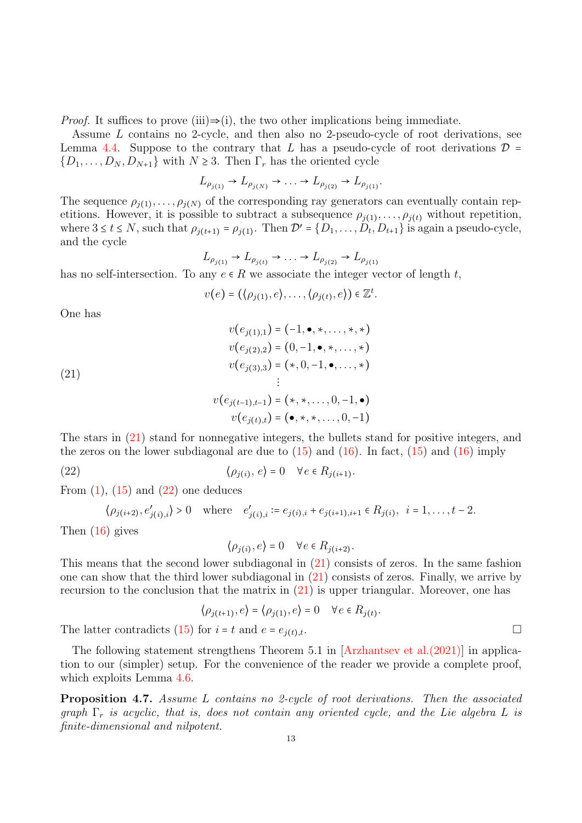*Proof.* It suffices to prove (iii)⇒(i), the two other implications being immediate.

Assume L contains no 2-cycle, and then also no 2-pseudo-cycle of root derivations, see Lemma [4.4.](#page-11-4) Suppose to the contrary that L has a pseudo-cycle of root derivations  $\mathcal{D} =$  $\{D_1, \ldots, D_N, D_{N+1}\}\$  with  $N \geq 3$ . Then  $\Gamma_r$  has the oriented cycle

$$
L_{\rho_{j(1)}} \to L_{\rho_{j(N)}} \to \dots \to L_{\rho_{j(2)}} \to L_{\rho_{j(1)}}.
$$

The sequence  $\rho_{j(1)}, \ldots, \rho_{j(N)}$  of the corresponding ray generators can eventually contain repetitions. However, it is possible to subtract a subsequence  $\rho_{j(1)}, \ldots, \rho_{j(t)}$  without repetition, where  $3 \le t \le N$ , such that  $\rho_{j(t+1)} = \rho_{j(1)}$ . Then  $\mathcal{D}' = \{D_1, \ldots, D_t, D_{t+1}\}$  is again a pseudo-cycle, and the cycle

$$
L_{\rho_{j(1)}} \to L_{\rho_{j(t)}} \to \dots \to L_{\rho_{j(2)}} \to L_{\rho_{j(1)}}
$$

has no self-intersection. To any  $e \in R$  we associate the integer vector of length t,

<span id="page-12-1"></span>
$$
v(e) = (\langle \rho_{j(1)}, e \rangle, \ldots, \langle \rho_{j(t)}, e \rangle) \in \mathbb{Z}^t.
$$

One has

(21)  
\n
$$
v(e_{j(1),1}) = (-1, \bullet, \ast, \dots, \ast, \ast)
$$
\n
$$
v(e_{j(2),2}) = (0, -1, \bullet, \ast, \dots, \ast)
$$
\n
$$
v(e_{j(3),3}) = (\ast, 0, -1, \bullet, \dots, \ast)
$$
\n
$$
\vdots
$$
\n
$$
v(e_{j(t-1),t-1}) = (\ast, \ast, \dots, 0, -1, \bullet)
$$
\n
$$
v(e_{j(t),t}) = (\bullet, \ast, \ast, \dots, 0, -1)
$$

The stars in [\(21\)](#page-12-1) stand for nonnegative integers, the bullets stand for positive integers, and the zeros on the lower subdiagonal are due to  $(15)$  and  $(16)$ . In fact,  $(15)$  and  $(16)$  imply

(22)  $\langle \rho_{j(i)}, e \rangle = 0 \quad \forall e \in R_{j(i+1)}.$ 

From  $(1)$ ,  $(15)$  and  $(22)$  one deduces

$$
\langle \rho_{j(i+2)}, e'_{j(i),i} \rangle > 0
$$
 where  $e'_{j(i),i} := e_{j(i),i} + e_{j(i+1),i+1} \in R_{j(i)}, i = 1, ..., t-2.$ 

Then [\(16\)](#page-11-1) gives

<span id="page-12-2"></span> $\langle \rho_{j(i)}, e \rangle = 0 \quad \forall e \in R_{j(i+2)}.$ 

This means that the second lower subdiagonal in [\(21\)](#page-12-1) consists of zeros. In the same fashion one can show that the third lower subdiagonal in [\(21\)](#page-12-1) consists of zeros. Finally, we arrive by recursion to the conclusion that the matrix in [\(21\)](#page-12-1) is upper triangular. Moreover, one has

$$
\langle \rho_{j(t+1)}, e \rangle = \langle \rho_{j(1)}, e \rangle = 0 \quad \forall e \in R_{j(t)}.
$$

The latter contradicts [\(15\)](#page-10-2) for  $i = t$  and  $e = e_{i(t),t}$ .

The following statement strengthens Theorem 5.1 in [\[Arzhantsev et al.\(2021\)\]](#page-21-6) in application to our (simpler) setup. For the convenience of the reader we provide a complete proof, which exploits Lemma [4.6.](#page-11-5)

<span id="page-12-0"></span>Proposition 4.7. Assume L contains no 2-cycle of root derivations. Then the associated graph  $\Gamma_r$  is acyclic, that is, does not contain any oriented cycle, and the Lie algebra L is finite-dimensional and nilpotent.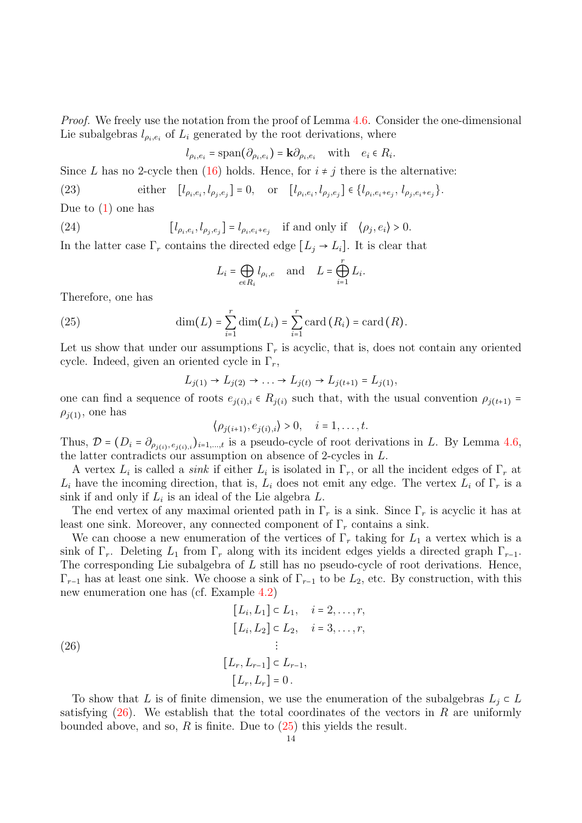Proof. We freely use the notation from the proof of Lemma [4.6.](#page-11-5) Consider the one-dimensional Lie subalgebras  $l_{\rho_i,e_i}$  of  $L_i$  generated by the root derivations, where

<span id="page-13-2"></span>
$$
l_{\rho_i, e_i}
$$
 = span $(\partial_{\rho_i, e_i})$  =  $\mathbf{k}\partial_{\rho_i, e_i}$  with  $e_i \in R_i$ .

Since L has no 2-cycle then [\(16\)](#page-11-1) holds. Hence, for  $i \neq j$  there is the alternative:

(23) either  $[l_{\rho_i, e_i}, l_{\rho_j, e_j}] = 0$ , or  $[l_{\rho_i, e_i}, l_{\rho_j, e_j}] \in \{l_{\rho_i, e_i + e_j}, l_{\rho_j, e_i + e_j}\}.$ 

Due to  $(1)$  one has

(24) 
$$
[l_{\rho_i, e_i}, l_{\rho_j, e_j}] = l_{\rho_i, e_i + e_j} \text{ if and only if } \langle \rho_j, e_i \rangle > 0.
$$

In the latter case  $\Gamma_r$  contains the directed edge  $[L_j \rightarrow L_i]$ . It is clear that

<span id="page-13-3"></span>
$$
L_i = \bigoplus_{e \in R_i} l_{\rho_i, e} \quad \text{and} \quad L = \bigoplus_{i=1}^r L_i.
$$

Therefore, one has

(25) 
$$
\dim(L) = \sum_{i=1}^r \dim(L_i) = \sum_{i=1}^r \operatorname{card}(R_i) = \operatorname{card}(R).
$$

Let us show that under our assumptions  $\Gamma_r$  is acyclic, that is, does not contain any oriented cycle. Indeed, given an oriented cycle in  $\Gamma_r$ ,

<span id="page-13-1"></span>
$$
L_{j(1)} \to L_{j(2)} \to \dots \to L_{j(t)} \to L_{j(t+1)} = L_{j(1)},
$$

one can find a sequence of roots  $e_{i(i),i} \in R_{i(i)}$  such that, with the usual convention  $\rho_{i(t+1)} =$  $\rho_{j(1)}$ , one has

$$
\langle \rho_{j(i+1)}, e_{j(i),i} \rangle > 0, \quad i = 1, \ldots, t.
$$

Thus,  $\mathcal{D} = (D_i = \partial_{\rho_{j(i)}, e_{j(i),i}})_{i=1,\dots,t}$  is a pseudo-cycle of root derivations in L. By Lemma [4.6,](#page-11-5) the latter contradicts our assumption on absence of 2-cycles in L.

A vertex  $L_i$  is called a *sink* if either  $L_i$  is isolated in  $\Gamma_r$ , or all the incident edges of  $\Gamma_r$  at  $L_i$  have the incoming direction, that is,  $L_i$  does not emit any edge. The vertex  $L_i$  of  $\Gamma_r$  is a sink if and only if  $L_i$  is an ideal of the Lie algebra  $L$ .

The end vertex of any maximal oriented path in  $\Gamma_r$  is a sink. Since  $\Gamma_r$  is acyclic it has at least one sink. Moreover, any connected component of  $\Gamma_r$  contains a sink.

We can choose a new enumeration of the vertices of  $\Gamma_r$  taking for  $L_1$  a vertex which is a sink of  $\Gamma_r$ . Deleting  $L_1$  from  $\Gamma_r$  along with its incident edges yields a directed graph  $\Gamma_{r-1}$ . The corresponding Lie subalgebra of  $L$  still has no pseudo-cycle of root derivations. Hence,  $\Gamma_{r-1}$  has at least one sink. We choose a sink of  $\Gamma_{r-1}$  to be  $L_2$ , etc. By construction, with this new enumeration one has (cf. Example [4.2\)](#page-10-1)

<span id="page-13-0"></span>(26)  
\n
$$
[L_i, L_1] \subset L_1, \quad i = 2, ..., r,
$$
\n
$$
[L_i, L_2] \subset L_2, \quad i = 3, ..., r,
$$
\n
$$
\vdots
$$
\n
$$
[L_r, L_{r-1}] \subset L_{r-1},
$$
\n
$$
[L_r, L_r] = 0.
$$

To show that L is of finite dimension, we use the enumeration of the subalgebras  $L_i \subset L$ satisfying  $(26)$ . We establish that the total coordinates of the vectors in R are uniformly bounded above, and so, R is finite. Due to  $(25)$  this yields the result.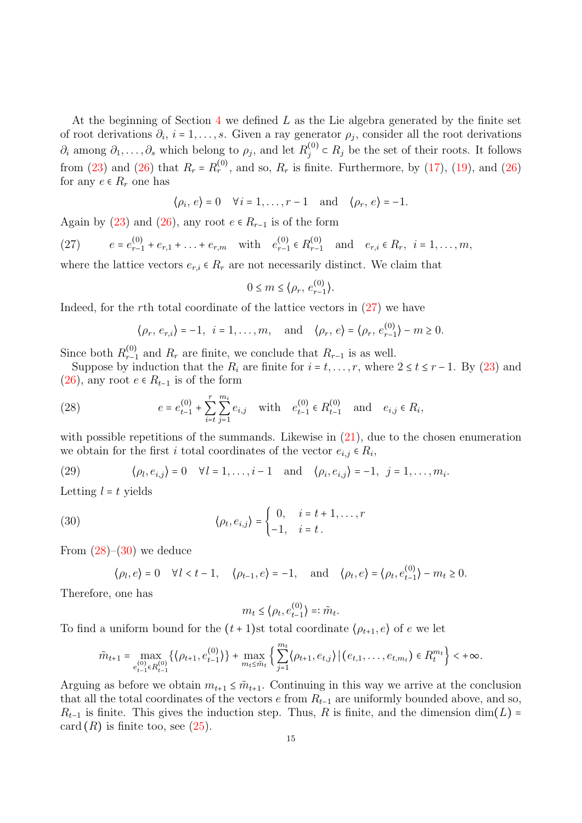At the beginning of Section [4](#page-9-2) we defined  $L$  as the Lie algebra generated by the finite set of root derivations  $\partial_i$ ,  $i = 1, \ldots, s$ . Given a ray generator  $\rho_j$ , consider all the root derivations  $\partial_i$  among  $\partial_1, \ldots, \partial_s$  which belong to  $\rho_j$ , and let  $R_j^{(0)}$  $j_j^{(0)} \in R_j$  be the set of their roots. It follows from [\(23\)](#page-13-2) and [\(26\)](#page-13-0) that  $R_r = R_r^{(0)}$ , and so,  $R_r$  is finite. Furthermore, by [\(17\)](#page-11-2), [\(19\)](#page-11-6), and (26) for any  $e \in R_r$  one has

$$
\langle \rho_i, e \rangle = 0 \quad \forall i = 1, \ldots, r-1 \quad \text{and} \quad \langle \rho_r, e \rangle = -1.
$$

Again by [\(23\)](#page-13-2) and [\(26\)](#page-13-0), any root  $e \in R_{r-1}$  is of the form

<span id="page-14-0"></span>(27)  $e = e_{r-1}^{(0)} + e_{r,1} + \ldots + e_{r,m}$  with  $e_{r-1}^{(0)}$  $\binom{(0)}{r-1}$  ∈  $R_{r-1}^{(0)}$  $r_{r-1}^{(0)}$  and  $e_{r,i} \in R_r$ ,  $i = 1, ..., m$ , where the lattice vectors  $e_{r,i} \in R_r$  are not necessarily distinct. We claim that

$$
0 \le m \le \langle \rho_r, e_{r-1}^{(0)} \rangle.
$$

Indeed, for the rth total coordinate of the lattice vectors in  $(27)$  we have

<span id="page-14-1"></span>
$$
\langle \rho_r, e_{r,i} \rangle = -1, i = 1, ..., m,
$$
 and  $\langle \rho_r, e \rangle = \langle \rho_r, e_{r-1}^{(0)} \rangle - m \ge 0.$ 

Since both  $R_{r-1}^{(0)}$  $r_{r-1}^{(0)}$  and  $R_r$  are finite, we conclude that  $R_{r-1}$  is as well.

Suppose by induction that the  $R_i$  are finite for  $i = t, \ldots, r$ , where  $2 \le t \le r - 1$ . By [\(23\)](#page-13-2) and [\(26\)](#page-13-0), any root  $e \in R_{t-1}$  is of the form

(28) 
$$
e = e_{t-1}^{(0)} + \sum_{i=t}^{r} \sum_{j=1}^{m_i} e_{i,j} \text{ with } e_{t-1}^{(0)} \in R_{t-1}^{(0)} \text{ and } e_{i,j} \in R_i,
$$

with possible repetitions of the summands. Likewise in  $(21)$ , due to the chosen enumeration we obtain for the first i total coordinates of the vector  $e_{i,j} \in R_i$ ,

<span id="page-14-3"></span>(29) 
$$
\langle \rho_l, e_{i,j} \rangle = 0 \quad \forall l = 1, \dots, i-1 \quad \text{and} \quad \langle \rho_i, e_{i,j} \rangle = -1, \quad j = 1, \dots, m_i.
$$

Letting  $l = t$  yields

(30) 
$$
\langle \rho_t, e_{i,j} \rangle = \begin{cases} 0, & i = t+1, \dots, r \\ -1, & i = t. \end{cases}
$$

From  $(28)$ – $(30)$  we deduce

$$
\langle \rho_l, e \rangle = 0 \quad \forall l < t-1, \quad \langle \rho_{t-1}, e \rangle = -1, \quad \text{and} \quad \langle \rho_t, e \rangle = \langle \rho_t, e_{t-1}^{(0)} \rangle - m_t \ge 0.
$$

Therefore, one has

<span id="page-14-2"></span>
$$
m_t \leq \langle \rho_t, e_{t-1}^{(0)} \rangle =: \tilde{m}_t.
$$

To find a uniform bound for the  $(t + 1)$ st total coordinate  $\langle \rho_{t+1}, e \rangle$  of e we let

$$
\tilde{m}_{t+1} = \max_{e_{t-1}^{(0)} \in R_{t-1}^{(0)}} \left\{ \left\langle \rho_{t+1}, e_{t-1}^{(0)} \right\rangle \right\} + \max_{m_t \leq \tilde{m}_t} \left\{ \sum_{j=1}^{m_t} \left\langle \rho_{t+1}, e_{t,j} \right\rangle \middle| \left( e_{t,1}, \ldots, e_{t,m_t} \right) \in R_t^{m_t} \right\} < +\infty.
$$

Arguing as before we obtain  $m_{t+1} \leq \tilde{m}_{t+1}$ . Continuing in this way we arrive at the conclusion that all the total coordinates of the vectors e from  $R_{t-1}$  are uniformly bounded above, and so,  $R_{t-1}$  is finite. This gives the induction step. Thus, R is finite, and the dimension dim(L) = card  $(R)$  is finite too, see  $(25)$ .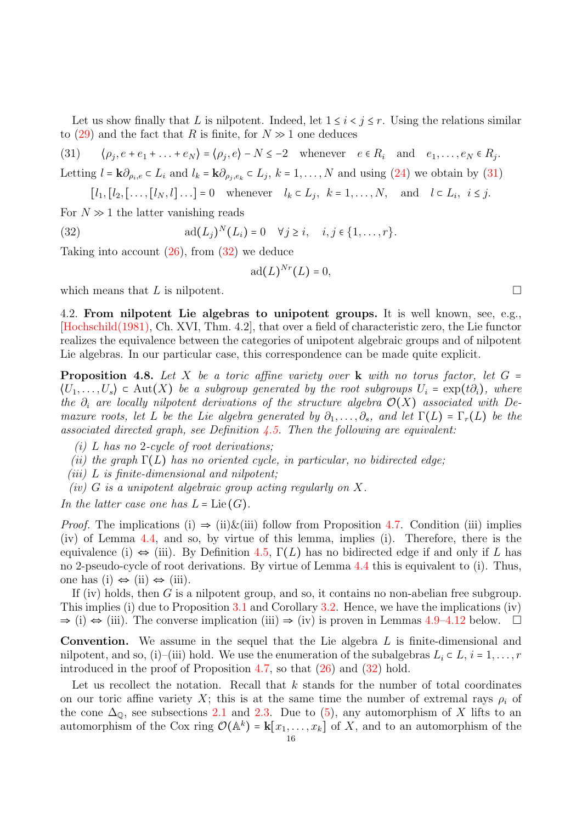Let us show finally that L is nilpotent. Indeed, let  $1 \leq i \leq j \leq r$ . Using the relations similar to [\(29\)](#page-14-3) and the fact that R is finite, for  $N \gg 1$  one deduces

<span id="page-15-2"></span> $(31)$  $, e + e_1 + \ldots + e_N$  =  $\langle \rho_j, e \rangle - N \leq -2$  whenever  $e \in R_i$  and  $e_1, \ldots, e_N \in R_j$ . Letting  $l = \mathbf{k}\partial_{\rho_i,e} \subset L_i$  and  $l_k = \mathbf{k}\partial_{\rho_j,e_k} \subset L_j$ ,  $k = 1,\ldots,N$  and using  $(24)$  we obtain by  $(31)$ 

$$
[l_1, [l_2, [\ldots, [l_N, l] \ldots] = 0 \quad \text{whenever} \quad l_k \subset L_j, \ k = 1, \ldots, N, \quad \text{and} \quad l \subset L_i, \ i \leq j.
$$

For  $N \gg 1$  the latter vanishing reads

(32) 
$$
\operatorname{ad}(L_j)^N(L_i) = 0 \quad \forall j \geq i, \quad i, j \in \{1, \ldots, r\}.
$$

Taking into account [\(26\)](#page-13-0), from [\(32\)](#page-15-3) we deduce

<span id="page-15-3"></span>
$$
\mathrm{ad}(L)^{Nr}(L)=0,
$$

which means that L is nilpotent.  $\square$ 

<span id="page-15-1"></span>4.2. From nilpotent Lie algebras to unipotent groups. It is well known, see, e.g., [\[Hochschild\(1981\),](#page-22-19) Ch. XVI, Thm. 4.2], that over a field of characteristic zero, the Lie functor realizes the equivalence between the categories of unipotent algebraic groups and of nilpotent Lie algebras. In our particular case, this correspondence can be made quite explicit.

<span id="page-15-0"></span>**Proposition 4.8.** Let X be a toric affine variety over **k** with no torus factor, let  $G =$  $\langle U_1,\ldots,U_s\rangle \in \text{Aut}(X)$  be a subgroup generated by the root subgroups  $U_i = \exp(t\partial_i)$ , where the  $\partial_i$  are locally nilpotent derivations of the structure algebra  $\mathcal{O}(X)$  associated with Demazure roots, let L be the Lie algebra generated by  $\partial_1, \ldots, \partial_s$ , and let  $\Gamma(L) = \Gamma_r(L)$  be the associated directed graph, see Definition  $\ddagger$ .5. Then the following are equivalent:

- $(i)$  L has no 2-cycle of root derivations:
- (ii) the graph  $\Gamma(L)$  has no oriented cycle, in particular, no bidirected edge;
- (iii)  $L$  is finite-dimensional and nilpotent;
- (iv)  $G$  is a unipotent algebraic group acting regularly on  $X$ .

In the latter case one has  $L = \text{Lie}(G)$ .

*Proof.* The implications (i)  $\Rightarrow$  (ii) & (iii) follow from Proposition [4.7.](#page-12-0) Condition (iii) implies (iv) of Lemma [4.4,](#page-11-4) and so, by virtue of this lemma, implies (i). Therefore, there is the equivalence (i)  $\Leftrightarrow$  (iii). By Definition [4.5,](#page-11-0)  $\Gamma(L)$  has no bidirected edge if and only if L has no 2-pseudo-cycle of root derivations. By virtue of Lemma [4.4](#page-11-4) this is equivalent to (i). Thus, one has (i) ⇔ (ii) ⇔ (iii).

If (iv) holds, then  $G$  is a nilpotent group, and so, it contains no non-abelian free subgroup. This implies (i) due to Proposition [3.1](#page-6-1) and Corollary [3.2.](#page-8-2) Hence, we have the implications (iv)  $\Rightarrow$  (i)  $\Rightarrow$  (iii). The converse implication (iii)  $\Rightarrow$  (iv) is proven in Lemmas [4.9–](#page-16-0)[4.12](#page-18-0) below.  $\Box$ 

Convention. We assume in the sequel that the Lie algebra L is finite-dimensional and nilpotent, and so, (i)–(iii) hold. We use the enumeration of the subalgebras  $L_i \subset L$ ,  $i = 1, \ldots, r$ introduced in the proof of Proposition [4.7,](#page-12-0) so that  $(26)$  and  $(32)$  hold.

Let us recollect the notation. Recall that  $k$  stands for the number of total coordinates on our toric affine variety X; this is at the same time the number of extremal rays  $\rho_i$  of the cone  $\Delta_{\mathbb{Q}}$ , see subsections [2.1](#page-3-1) and [2.3.](#page-4-1) Due to [\(5\)](#page-6-3), any automorphism of X lifts to an automorphism of the Cox ring  $\mathcal{O}(\mathbb{A}^k) = \mathbf{k}[x_1,\ldots,x_k]$  of X, and to an automorphism of the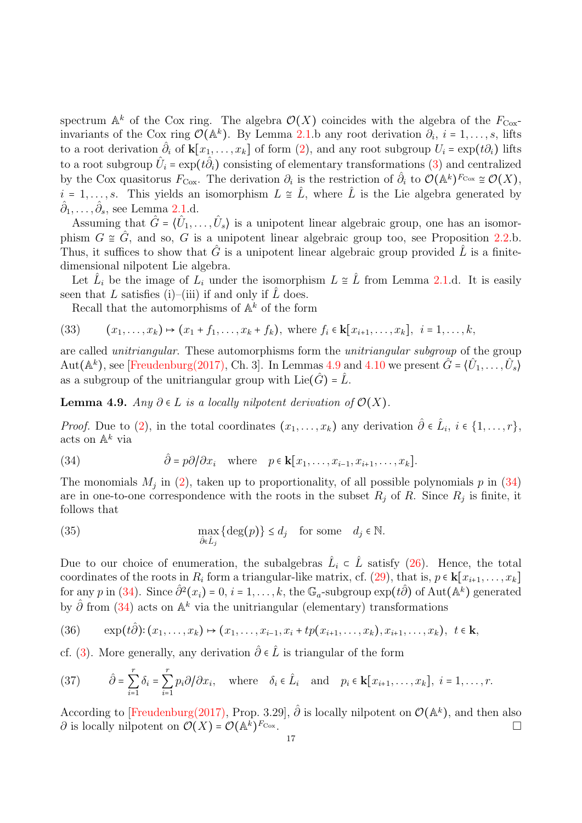spectrum  $\mathbb{A}^k$  of the Cox ring. The algebra  $\mathcal{O}(X)$  coincides with the algebra of the  $F_{\text{Cox}}$ invariants of the Cox ring  $\mathcal{O}(\mathbb{A}^k)$ . By Lemma [2.1.](#page-4-2)b any root derivation  $\partial_i$ ,  $i = 1, \ldots, s$ , lifts to a root derivation  $\partial_i$  of  $\mathbf{k}[x_1,\ldots,x_k]$  of form  $(2)$ , and any root subgroup  $U_i = \exp(t\partial_i)$  lifts to a root subgroup  $\hat{U}_i = \exp(t\hat{\partial}_i)$  consisting of elementary transformations [\(3\)](#page-5-2) and centralized by the Cox quasitorus  $F_{\text{Cox}}$ . The derivation  $\partial_i$  is the restriction of  $\hat{\partial}_i$  to  $\mathcal{O}(\mathbb{A}^k)^{F_{\text{Cox}}} \cong \mathcal{O}(X)$ ,  $i = 1, \ldots, s$ . This yields an isomorphism  $L \cong \hat{L}$ , where  $\hat{L}$  is the Lie algebra generated by  $\hat{\partial}_1, \ldots, \hat{\partial}_s$ , see Lemma [2.1.](#page-4-2)d.

Assuming that  $\hat{G} = \{\hat{U}_1, \ldots, \hat{U}_s\}$  is a unipotent linear algebraic group, one has an isomorphism  $G \cong \hat{G}$ , and so, G is a unipotent linear algebraic group too, see Proposition [2.2.](#page-5-1)b. Thus, it suffices to show that  $\hat{G}$  is a unipotent linear algebraic group provided  $\hat{L}$  is a finitedimensional nilpotent Lie algebra.

Let  $\hat{L}_i$  be the image of  $L_i$  under the isomorphism  $L \cong \hat{L}$  from Lemma [2.1.](#page-4-2)d. It is easily seen that L satisfies (i)–(iii) if and only if  $\hat{L}$  does.

<span id="page-16-5"></span>Recall that the automorphisms of  $\mathbb{A}^k$  of the form

(33) 
$$
(x_1, ..., x_k) \mapsto (x_1 + f_1, ..., x_k + f_k)
$$
, where  $f_i \in \mathbf{k}[x_{i+1}, ..., x_k]$ ,  $i = 1, ..., k$ ,

are called unitriangular. These automorphisms form the unitriangular subgroup of the group Aut $(\mathbb{A}^k)$ , see [\[Freudenburg\(2017\),](#page-22-14) Ch. 3]. In Lemmas [4.9](#page-16-0) and [4.10](#page-17-0) we present  $\hat{G} = \langle \hat{U}_1, \ldots, \hat{U}_s \rangle$ as a subgroup of the unitriangular group with Lie( $\hat{G}$ ) =  $\hat{L}$ .

<span id="page-16-0"></span>**Lemma 4.9.** Any  $\partial \in L$  is a locally nilpotent derivation of  $\mathcal{O}(X)$ .

*Proof.* Due to [\(2\)](#page-5-0), in the total coordinates  $(x_1, \ldots, x_k)$  any derivation  $\hat{\partial} \in \hat{L}_i$ ,  $i \in \{1, \ldots, r\}$ , acts on  $\mathbb{A}^k$  via

<span id="page-16-1"></span>(34) 
$$
\hat{\partial} = p\partial/\partial x_i \text{ where } p \in \mathbf{k}[x_1,\ldots,x_{i-1},x_{i+1},\ldots,x_k].
$$

The monomials  $M_j$  in [\(2\)](#page-5-0), taken up to proportionality, of all possible polynomials  $p$  in [\(34\)](#page-16-1) are in one-to-one correspondence with the roots in the subset  $R_j$  of R. Since  $R_j$  is finite, it follows that

<span id="page-16-4"></span>(35) 
$$
\max_{\hat{\partial} \in \hat{L}_j} {\{\text{deg}(p)\}} \le d_j \quad \text{for some} \quad d_j \in \mathbb{N}.
$$

Due to our choice of enumeration, the subalgebras  $\hat{L}_i \in \hat{L}$  satisfy [\(26\)](#page-13-0). Hence, the total coordinates of the roots in  $R_i$  form a triangular-like matrix, cf. [\(29\)](#page-14-3), that is,  $p \in \mathbf{k}[x_{i+1}, \ldots, x_k]$ for any p in [\(34\)](#page-16-1). Since  $\hat{\partial}^2(x_i) = 0, i = 1, \ldots, k$ , the  $\mathbb{G}_a$ -subgroup  $\exp(t\hat{\partial})$  of Aut $(\mathbb{A}^k)$  generated by  $\hat{\partial}$  from [\(34\)](#page-16-1) acts on  $\mathbb{A}^k$  via the unitriangular (elementary) transformations

<span id="page-16-2"></span>
$$
(36) \qquad \exp(t\hat{\partial})\colon (x_1,\ldots,x_k)\mapsto (x_1,\ldots,x_{i-1},x_i+tp(x_{i+1},\ldots,x_k),x_{i+1},\ldots,x_k),\ \ t\in\mathbf{k},
$$

cf. [\(3\)](#page-5-2). More generally, any derivation  $\hat{\partial} \in \hat{L}$  is triangular of the form

<span id="page-16-3"></span>(37) 
$$
\hat{\partial} = \sum_{i=1}^r \delta_i = \sum_{i=1}^r p_i \partial / \partial x_i, \text{ where } \delta_i \in \hat{L}_i \text{ and } p_i \in \mathbf{k}[x_{i+1}, \dots, x_k], i = 1, \dots, r.
$$

According to [\[Freudenburg\(2017\),](#page-22-14) Prop. 3.29],  $\hat{\partial}$  is locally nilpotent on  $\mathcal{O}(\mathbb{A}^k)$ , and then also  $\partial$  is locally nilpotent on  $\mathcal{O}(X) = \mathcal{O}(\mathbb{A}^k)^{F_{\text{Cox}}}.$  $F_{\text{Cox}}$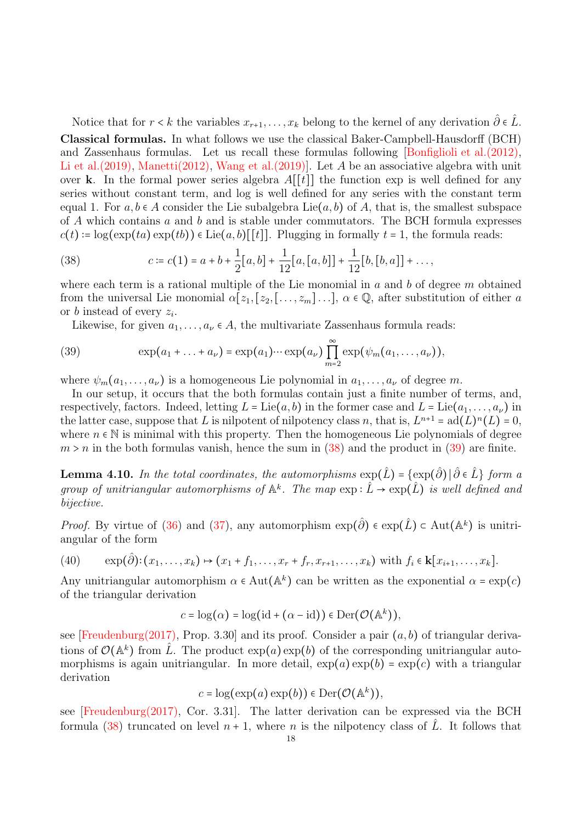Notice that for  $r < k$  the variables  $x_{r+1}, \ldots, x_k$  belong to the kernel of any derivation  $\hat{\partial} \in \hat{L}$ . Classical formulas. In what follows we use the classical Baker-Campbell-Hausdorff (BCH) and Zassenhaus formulas. Let us recall these formulas following [\[Bonfiglioli et al.\(2012\),](#page-21-9) Li et al.  $(2019)$ , Manetti $(2012)$ , Wang et al.  $(2019)$ ]. Let A be an associative algebra with unit over k. In the formal power series algebra  $A[[t]]$  the function exp is well defined for any series without constant term, and log is well defined for any series with the constant term equal 1. For  $a, b \in A$  consider the Lie subalgebra Lie $(a, b)$  of A, that is, the smallest subspace of  $\tilde{A}$  which contains  $\alpha$  and  $\tilde{b}$  and is stable under commutators. The BCH formula expresses  $c(t) := \log(\exp(ta) \exp(tb)) \in \text{Lie}(a, b)[[t]]$ . Plugging in formally  $t = 1$ , the formula reads:

<span id="page-17-1"></span>(38) 
$$
c \coloneqq c(1) = a + b + \frac{1}{2}[a, b] + \frac{1}{12}[a, [a, b]] + \frac{1}{12}[b, [b, a]] + \dots,
$$

where each term is a rational multiple of the Lie monomial in  $a$  and  $b$  of degree  $m$  obtained from the universal Lie monomial  $\alpha[z_1,[z_2,[\ldots,z_m]\ldots], \alpha \in \mathbb{Q}$ , after substitution of either a or b instead of every  $z_i$ .

<span id="page-17-2"></span>Likewise, for given  $a_1, \ldots, a_{\nu} \in A$ , the multivariate Zassenhaus formula reads:

(39) 
$$
\exp(a_1 + \ldots + a_\nu) = \exp(a_1) \cdots \exp(a_\nu) \prod_{m=2}^{\infty} \exp(\psi_m(a_1, \ldots, a_\nu)),
$$

where  $\psi_m(a_1,\ldots,a_\nu)$  is a homogeneous Lie polynomial in  $a_1,\ldots,a_\nu$  of degree m.

In our setup, it occurs that the both formulas contain just a finite number of terms, and, respectively, factors. Indeed, letting  $L = \text{Lie}(a, b)$  in the former case and  $L = \text{Lie}(a_1, \ldots, a_\nu)$  in the latter case, suppose that L is nilpotent of nilpotency class n, that is,  $L^{n+1} = ad(L)^n(L) = 0$ , where  $n \in \mathbb{N}$  is minimal with this property. Then the homogeneous Lie polynomials of degree  $m > n$  in the both formulas vanish, hence the sum in [\(38\)](#page-17-1) and the product in [\(39\)](#page-17-2) are finite.

<span id="page-17-0"></span>**Lemma 4.10.** In the total coordinates, the automorphisms  $\exp(\hat{L})$  =  $\{\exp(\hat{\partial}) \, | \, \hat{\partial} \in \hat{L} \}$  form a group of unitriangular automorphisms of  $\mathbb{A}^k$ . The map  $\exp : \hat{L} \to \exp(\hat{L})$  is well defined and bijective.

*Proof.* By virtue of [\(36\)](#page-16-2) and [\(37\)](#page-16-3), any automorphism  $\exp(\hat{\partial}) \in \exp(\hat{L}) \subset \text{Aut}(\mathbb{A}^k)$  is unitriangular of the form

<span id="page-17-3"></span>(40) 
$$
\exp(\hat{\partial})
$$
:  $(x_1, ..., x_k) \mapsto (x_1 + f_1, ..., x_r + f_r, x_{r+1}, ..., x_k)$  with  $f_i \in k[x_{i+1}, ..., x_k]$ .

Any unitriangular automorphism  $\alpha \in \text{Aut}(\mathbb{A}^k)$  can be written as the exponential  $\alpha = \exp(c)$ of the triangular derivation

$$
c = \log(\alpha) = \log(\mathrm{id} + (\alpha - \mathrm{id})) \in \mathrm{Der}(\mathcal{O}(\mathbb{A}^k)),
$$

see [\[Freudenburg\(2017\),](#page-22-14) Prop. 3.30] and its proof. Consider a pair  $(a, b)$  of triangular derivations of  $\mathcal{O}(\mathbb{A}^k)$  from  $\hat{L}$ . The product  $\exp(a) \exp(b)$  of the corresponding unitriangular automorphisms is again unitriangular. In more detail,  $\exp(a)\exp(b) = \exp(c)$  with a triangular derivation

$$
c = \log(\exp(a)\exp(b)) \in \mathrm{Der}(\mathcal{O}(\mathbb{A}^k)),
$$

see [\[Freudenburg\(2017\),](#page-22-14) Cor. 3.31]. The latter derivation can be expressed via the BCH formula [\(38\)](#page-17-1) truncated on level  $n + 1$ , where n is the nilpotency class of  $\hat{L}$ . It follows that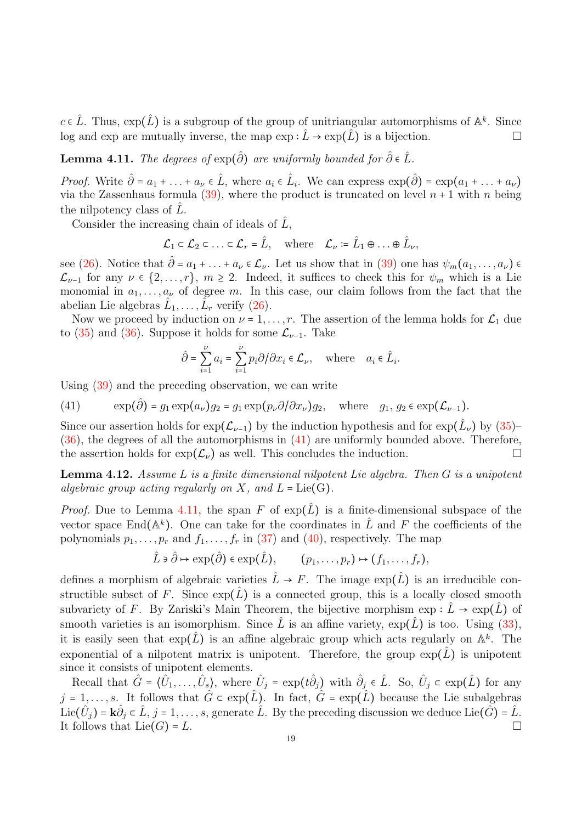$c \in \hat{L}$ . Thus,  $\exp(\hat{L})$  is a subgroup of the group of unitriangular automorphisms of  $\mathbb{A}^k$ . Since log and exp are mutually inverse, the map  $\exp : \hat{L} \to \exp(\hat{L})$  is a bijection.

<span id="page-18-2"></span>**Lemma 4.11.** The degrees of  $exp(\hat{\partial})$  are uniformly bounded for  $\hat{\partial} \in \hat{L}$ .

*Proof.* Write  $\hat{\partial} = a_1 + \ldots + a_{\nu} \in \hat{L}$ , where  $a_i \in \hat{L}_i$ . We can express  $\exp(\hat{\partial}) = \exp(a_1 + \ldots + a_{\nu})$ via the Zassenhaus formula [\(39\)](#page-17-2), where the product is truncated on level  $n + 1$  with n being the nilpotency class of  $\hat{L}$ .

Consider the increasing chain of ideals of  $\hat{L}$ ,

$$
\mathcal{L}_1 \subset \mathcal{L}_2 \subset \ldots \subset \mathcal{L}_r = \hat{L}, \quad \text{where} \quad \mathcal{L}_\nu \coloneqq \hat{L}_1 \oplus \ldots \oplus \hat{L}_\nu,
$$

see [\(26\)](#page-13-0). Notice that  $\hat{\partial} = a_1 + \ldots + a_{\nu} \in \mathcal{L}_{\nu}$ . Let us show that in [\(39\)](#page-17-2) one has  $\psi_m(a_1, \ldots, a_{\nu}) \in$  $\mathcal{L}_{\nu-1}$  for any  $\nu \in \{2,\ldots,r\}, m \geq 2$ . Indeed, it suffices to check this for  $\psi_m$  which is a Lie monomial in  $a_1, \ldots, a_{\nu}$  of degree m. In this case, our claim follows from the fact that the abelian Lie algebras  $\hat{L}_1, \dots, \hat{L}_r$  verify [\(26\)](#page-13-0).

Now we proceed by induction on  $\nu = 1, \ldots, r$ . The assertion of the lemma holds for  $\mathcal{L}_1$  due to [\(35\)](#page-16-4) and [\(36\)](#page-16-2). Suppose it holds for some  $\mathcal{L}_{\nu-1}$ . Take

$$
\hat{\partial} = \sum_{i=1}^{\nu} a_i = \sum_{i=1}^{\nu} p_i \partial / \partial x_i \in \mathcal{L}_{\nu}, \quad \text{where} \quad a_i \in \hat{L}_i.
$$

Using [\(39\)](#page-17-2) and the preceding observation, we can write

<span id="page-18-1"></span>(41)  $\exp(\hat{\partial}) = g_1 \exp(a_\nu) g_2 = g_1 \exp(p_\nu \partial/\partial x_\nu) g_2$ , where  $g_1, g_2 \in \exp(\mathcal{L}_{\nu-1})$ .

Since our assertion holds for  $\exp(\mathcal{L}_{\nu-1})$  by the induction hypothesis and for  $\exp(\hat{L}_{\nu})$  by  $(35)$ -[\(36\)](#page-16-2), the degrees of all the automorphisms in [\(41\)](#page-18-1) are uniformly bounded above. Therefore, the assertion holds for  $\exp(\mathcal{L}_{\nu})$  as well. This concludes the induction.

<span id="page-18-0"></span>**Lemma 4.12.** Assume L is a finite dimensional nilpotent Lie algebra. Then  $G$  is a unipotent algebraic group acting regularly on X, and  $L = Lie(G)$ .

*Proof.* Due to Lemma [4.11,](#page-18-2) the span F of  $exp(\tilde{L})$  is a finite-dimensional subspace of the vector space End( $\mathbb{A}^k$ ). One can take for the coordinates in  $\hat{L}$  and F the coefficients of the polynomials  $p_1, \ldots, p_r$  and  $f_1, \ldots, f_r$  in [\(37\)](#page-16-3) and [\(40\)](#page-17-3), respectively. The map

$$
\hat{L} \ni \hat{\partial} \mapsto \exp(\hat{\partial}) \in \exp(\hat{L}), \qquad (p_1, \ldots, p_r) \mapsto (f_1, \ldots, f_r),
$$

defines a morphism of algebraic varieties  $\hat{L} \rightarrow F$ . The image  $\exp(\hat{L})$  is an irreducible constructible subset of F. Since  $\exp(\hat{L})$  is a connected group, this is a locally closed smooth subvariety of F. By Zariski's Main Theorem, the bijective morphism  $\exp : L \to \exp(L)$  of smooth varieties is an isomorphism. Since  $\hat{L}$  is an affine variety,  $\exp(\hat{L})$  is too. Using [\(33\)](#page-16-5), it is easily seen that  $\exp(\hat{L})$  is an affine algebraic group which acts regularly on  $\mathbb{A}^k$ . The exponential of a nilpotent matrix is unipotent. Therefore, the group  $\exp(L)$  is unipotent since it consists of unipotent elements.

Recall that  $\hat{G} = \{\hat{U}_1, \ldots, \hat{U}_s\}$ , where  $\hat{U}_j = \exp(t\hat{\partial}_j)$  with  $\hat{\partial}_j \in \hat{L}$ . So,  $\hat{U}_j \subset \exp(\hat{L})$  for any  $j = 1, \ldots, s$ . It follows that  $\hat{G} \subset \exp(\hat{L})$ . In fact,  $\hat{G} = \exp(\hat{L})$  because the Lie subalgebras Lie $(\hat{U}_j)$  =  $\mathbf{k}\hat{\partial}_j \in \hat{L}, j = 1, \ldots, s$ , generate  $\hat{L}$ . By the preceding discussion we deduce Lie $(\hat{G})$  =  $\hat{L}$ . It follows that  $Lie(G) = L$ .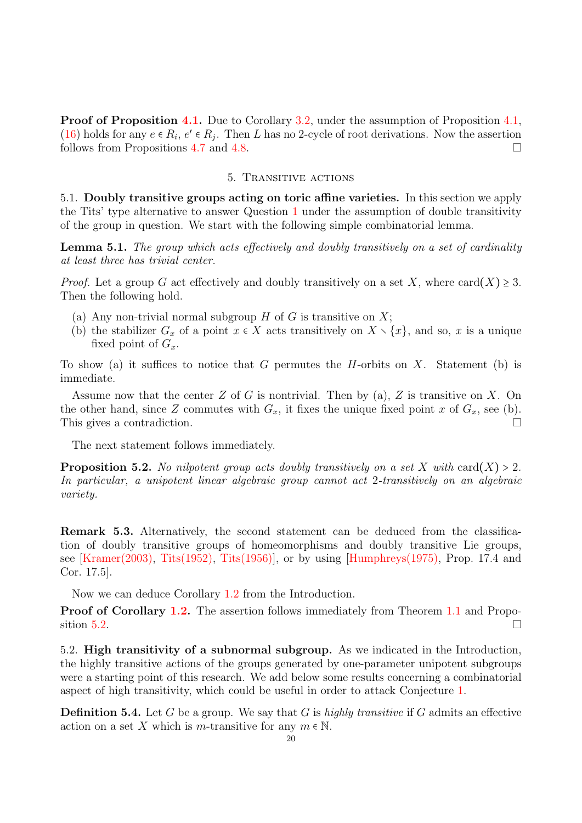Proof of Proposition [4.1.](#page-9-0) Due to Corollary [3.2,](#page-8-2) under the assumption of Proposition [4.1,](#page-9-0) [\(16\)](#page-11-1) holds for any  $e \in R_i$ ,  $e' \in R_j$ . Then L has no 2-cycle of root derivations. Now the assertion follows from Propositions [4.7](#page-12-0) and [4.8.](#page-15-0)

#### 5. Transitive actions

<span id="page-19-1"></span>5.1. Doubly transitive groups acting on toric affine varieties. In this section we apply the Tits' type alternative to answer Question [1](#page-1-0) under the assumption of double transitivity of the group in question. We start with the following simple combinatorial lemma.

<span id="page-19-3"></span>**Lemma 5.1.** The group which acts effectively and doubly transitively on a set of cardinality at least three has trivial center.

*Proof.* Let a group G act effectively and doubly transitively on a set X, where  $card(X) \geq 3$ . Then the following hold.

- (a) Any non-trivial normal subgroup  $H$  of  $G$  is transitive on  $X$ ;
- (b) the stabilizer  $G_x$  of a point  $x \in X$  acts transitively on  $X \setminus \{x\}$ , and so, x is a unique fixed point of  $G_x$ .

To show (a) it suffices to notice that G permutes the H-orbits on X. Statement (b) is immediate.

Assume now that the center  $Z$  of  $G$  is nontrivial. Then by (a),  $Z$  is transitive on  $X$ . On the other hand, since Z commutes with  $G_x$ , it fixes the unique fixed point x of  $G_x$ , see (b). This gives a contradiction.

The next statement follows immediately.

<span id="page-19-0"></span>**Proposition 5.2.** No nilpotent group acts doubly transitively on a set X with card(X) > 2. In particular, a unipotent linear algebraic group cannot act 2-transitively on an algebraic variety.

Remark 5.3. Alternatively, the second statement can be deduced from the classification of doubly transitive groups of homeomorphisms and doubly transitive Lie groups, see [\[Kramer\(2003\),](#page-22-22) [Tits\(1952\),](#page-23-11) [Tits\(1956\)\]](#page-23-12), or by using [\[Humphreys\(1975\),](#page-22-23) Prop. 17.4 and Cor. 17.5].

Now we can deduce Corollary [1.2](#page-0-1) from the Introduction.

**Proof of Corollary [1.2.](#page-0-1)** The assertion follows immediately from Theorem [1.1](#page-0-0) and Propo-sition [5.2.](#page-19-0)

<span id="page-19-2"></span>5.2. High transitivity of a subnormal subgroup. As we indicated in the Introduction, the highly transitive actions of the groups generated by one-parameter unipotent subgroups were a starting point of this research. We add below some results concerning a combinatorial aspect of high transitivity, which could be useful in order to attack Conjecture [1.](#page-1-0)

**Definition 5.4.** Let G be a group. We say that G is highly transitive if G admits an effective action on a set X which is m-transitive for any  $m \in \mathbb{N}$ .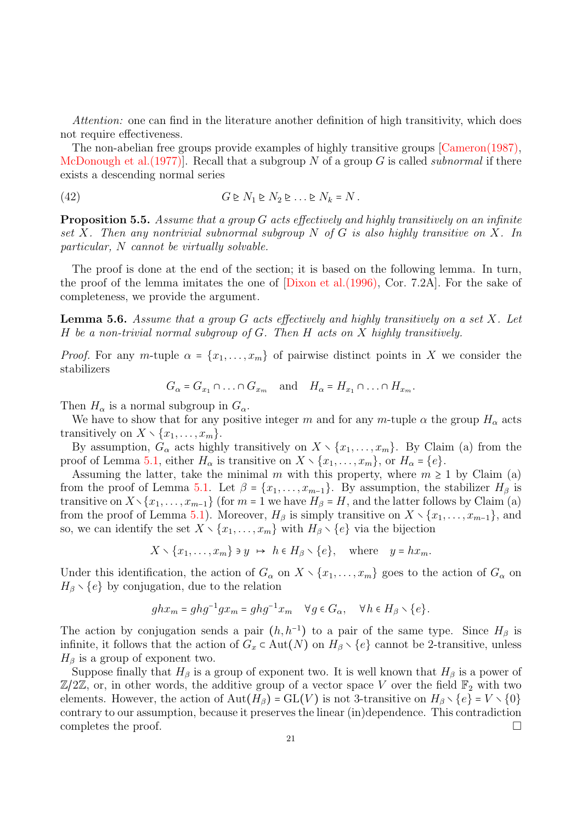Attention: one can find in the literature another definition of high transitivity, which does not require effectiveness.

The non-abelian free groups provide examples of highly transitive groups [\[Cameron\(1987\),](#page-21-10) McDonough et al. (1977). Recall that a subgroup N of a group G is called *subnormal* if there exists a descending normal series

<span id="page-20-2"></span>
$$
(42) \tG \triangleright N_1 \triangleright N_2 \triangleright \ldots \triangleright N_k = N.
$$

<span id="page-20-0"></span>**Proposition 5.5.** Assume that a group  $G$  acts effectively and highly transitively on an infinite set X. Then any nontrivial subnormal subgroup  $N$  of  $G$  is also highly transitive on X. In particular, N cannot be virtually solvable.

The proof is done at the end of the section; it is based on the following lemma. In turn, the proof of the lemma imitates the one of [\[Dixon et al.\(1996\),](#page-22-24) Cor. 7.2A]. For the sake of completeness, we provide the argument.

<span id="page-20-1"></span>**Lemma 5.6.** Assume that a group G acts effectively and highly transitively on a set X. Let H be a non-trivial normal subgroup of  $G$ . Then  $H$  acts on  $X$  highly transitively.

*Proof.* For any m-tuple  $\alpha = \{x_1, \ldots, x_m\}$  of pairwise distinct points in X we consider the stabilizers

$$
G_{\alpha} = G_{x_1} \cap \ldots \cap G_{x_m} \quad \text{and} \quad H_{\alpha} = H_{x_1} \cap \ldots \cap H_{x_m}.
$$

Then  $H_{\alpha}$  is a normal subgroup in  $G_{\alpha}$ .

We have to show that for any positive integer m and for any m-tuple  $\alpha$  the group  $H_{\alpha}$  acts transitively on  $X \setminus \{x_1, \ldots, x_m\}.$ 

By assumption,  $G_{\alpha}$  acts highly transitively on  $X \setminus \{x_1, \ldots, x_m\}$ . By Claim (a) from the proof of Lemma [5.1,](#page-19-3) either  $H_{\alpha}$  is transitive on  $X \setminus \{x_1, \ldots, x_m\}$ , or  $H_{\alpha} = \{e\}.$ 

Assuming the latter, take the minimal m with this property, where  $m \geq 1$  by Claim (a) from the proof of Lemma [5.1.](#page-19-3) Let  $\beta = \{x_1, \ldots, x_{m-1}\}$ . By assumption, the stabilizer  $H_\beta$  is transitive on  $X\setminus\{x_1,\ldots,x_{m-1}\}$  (for  $m=1$  we have  $H_\beta = H$ , and the latter follows by Claim (a) from the proof of Lemma [5.1\)](#page-19-3). Moreover,  $H_\beta$  is simply transitive on  $X \setminus \{x_1, \ldots, x_{m-1}\}\)$ , and so, we can identify the set  $X \setminus \{x_1, \ldots, x_m\}$  with  $H_\beta \setminus \{e\}$  via the bijection

 $X \setminus \{x_1, \ldots, x_m\} \ni y \mapsto h \in H_\beta \setminus \{e\}, \quad \text{where} \quad y = hx_m.$ 

Under this identification, the action of  $G_{\alpha}$  on  $X \setminus \{x_1, \ldots, x_m\}$  goes to the action of  $G_{\alpha}$  on  $H_\beta \setminus \{e\}$  by conjugation, due to the relation

$$
ghx_m = ghg^{-1}gx_m = ghg^{-1}x_m \quad \forall g \in G_\alpha, \quad \forall h \in H_\beta \smallsetminus \{e\}.
$$

The action by conjugation sends a pair  $(h, h^{-1})$  to a pair of the same type. Since  $H_\beta$  is infinite, it follows that the action of  $G_x \subset \text{Aut}(N)$  on  $H_\beta \setminus \{e\}$  cannot be 2-transitive, unless  $H_\beta$  is a group of exponent two.

Suppose finally that  $H_\beta$  is a group of exponent two. It is well known that  $H_\beta$  is a power of  $\mathbb{Z}/2\mathbb{Z}$ , or, in other words, the additive group of a vector space V over the field  $\mathbb{F}_2$  with two elements. However, the action of  $Aut(H_\beta) = GL(V)$  is not 3-transitive on  $H_\beta \setminus \{e\} = V \setminus \{0\}$ contrary to our assumption, because it preserves the linear (in)dependence. This contradiction completes the proof.  $\Box$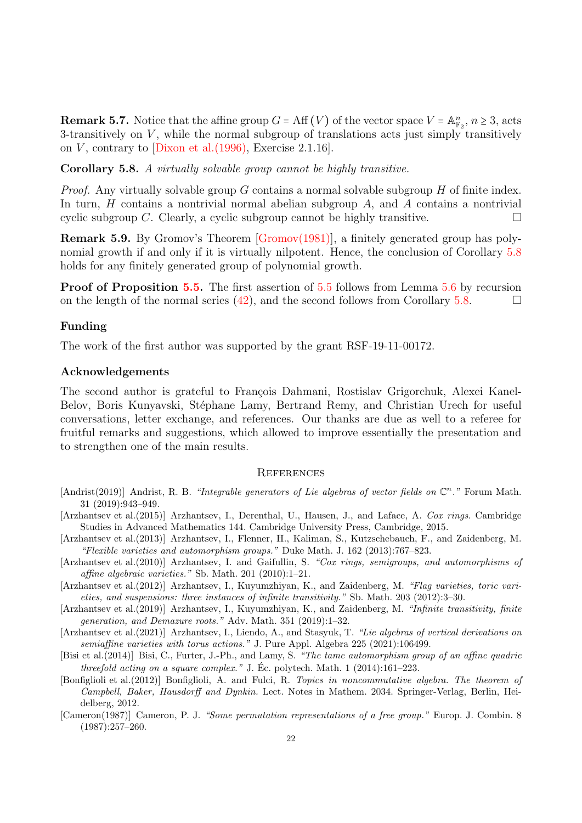**Remark 5.7.** Notice that the affine group  $G = \text{Aff}(V)$  of the vector space  $V = \mathbb{A}_{\mathbb{F}_2}^n$ ,  $n \geq 3$ , acts 3-transitively on  $V$ , while the normal subgroup of translations acts just simply transitively on V, contrary to  $\vert$ Dixon et al.(1996), Exercise 2.1.16.

<span id="page-21-5"></span>Corollary 5.8. A virtually solvable group cannot be highly transitive.

*Proof.* Any virtually solvable group G contains a normal solvable subgroup  $H$  of finite index. In turn,  $H$  contains a nontrivial normal abelian subgroup  $A$ , and  $A$  contains a nontrivial cyclic subgroup C. Clearly, a cyclic subgroup cannot be highly transitive.

Remark 5.9. By Gromov's Theorem [\[Gromov\(1981\)\]](#page-22-25), a finitely generated group has polynomial growth if and only if it is virtually nilpotent. Hence, the conclusion of Corollary [5.8](#page-21-5) holds for any finitely generated group of polynomial growth.

Proof of Proposition [5.5.](#page-20-0) The first assertion of [5.5](#page-20-0) follows from Lemma [5.6](#page-20-1) by recursion on the length of the normal series [\(42\)](#page-20-2), and the second follows from Corollary [5.8.](#page-21-5)

# Funding

The work of the first author was supported by the grant RSF-19-11-00172.

# Acknowledgements

The second author is grateful to François Dahmani, Rostislav Grigorchuk, Alexei Kanel-Belov, Boris Kunyavski, Stéphane Lamy, Bertrand Remy, and Christian Urech for useful conversations, letter exchange, and references. Our thanks are due as well to a referee for fruitful remarks and suggestions, which allowed to improve essentially the presentation and to strengthen one of the main results.

#### **REFERENCES**

- <span id="page-21-4"></span>[Andrist(2019)] Andrist, R. B. "Integrable generators of Lie algebras of vector fields on  $\mathbb{C}^n$ ." Forum Math. 31 (2019):943–949.
- <span id="page-21-7"></span>[Arzhantsev et al.(2015)] Arzhantsev, I., Derenthal, U., Hausen, J., and Laface, A. Cox rings. Cambridge Studies in Advanced Mathematics 144. Cambridge University Press, Cambridge, 2015.
- <span id="page-21-2"></span>[Arzhantsev et al.(2013)] Arzhantsev, I., Flenner, H., Kaliman, S., Kutzschebauch, F., and Zaidenberg, M. "Flexible varieties and automorphism groups." Duke Math. J. 162 (2013):767–823.
- <span id="page-21-8"></span>[Arzhantsev et al.(2010)] Arzhantsev, I. and Gaifullin, S. "Cox rings, semigroups, and automorphisms of affine algebraic varieties." Sb. Math. 201 (2010):1–21.
- <span id="page-21-1"></span>[Arzhantsev et al.(2012)] Arzhantsev, I., Kuyumzhiyan, K., and Zaidenberg, M. "Flag varieties, toric varieties, and suspensions: three instances of infinite transitivity." Sb. Math. 203 (2012):3–30.
- <span id="page-21-3"></span>[Arzhantsev et al.(2019)] Arzhantsev, I., Kuyumzhiyan, K., and Zaidenberg, M. "Infinite transitivity, finite generation, and Demazure roots." Adv. Math. 351 (2019):1–32.
- <span id="page-21-6"></span>[Arzhantsev et al.(2021)] Arzhantsev, I., Liendo, A., and Stasyuk, T. "Lie algebras of vertical derivations on semiaffine varieties with torus actions." J. Pure Appl. Algebra 225 (2021):106499.
- <span id="page-21-0"></span>[Bisi et al.(2014)] Bisi, C., Furter, J.-Ph., and Lamy, S. "The tame automorphism group of an affine quadric threefold acting on a square complex." J. Éc. polytech. Math. 1  $(2014):161-223$ .
- <span id="page-21-9"></span>[Bonfiglioli et al.(2012)] Bonfiglioli, A. and Fulci, R. Topics in noncommutative algebra. The theorem of Campbell, Baker, Hausdorff and Dynkin. Lect. Notes in Mathem. 2034. Springer-Verlag, Berlin, Heidelberg, 2012.
- <span id="page-21-10"></span>[Cameron(1987)] Cameron, P. J. "Some permutation representations of a free group." Europ. J. Combin. 8 (1987):257–260.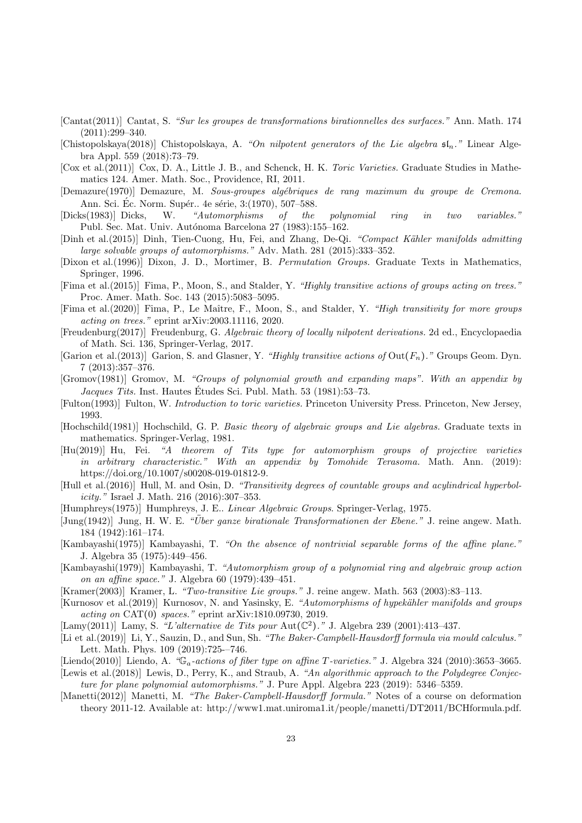- <span id="page-22-0"></span>[Cantat(2011)] Cantat, S. "Sur les groupes de transformations birationnelles des surfaces." Ann. Math. 174 (2011):299–340.
- <span id="page-22-6"></span>[Chistopolskaya(2018)] Chistopolskaya, A. "On nilpotent generators of the Lie algebra  $\mathfrak{sl}_n$ ." Linear Algebra Appl. 559 (2018):73–79.
- <span id="page-22-11"></span>[Cox et al.(2011)] Cox, D. A., Little J. B., and Schenck, H. K. Toric Varieties. Graduate Studies in Mathematics 124. Amer. Math. Soc., Providence, RI, 2011.
- [Demazure(1970)] Demazure, M. Sous-groupes alg´ebriques de rang maximum du groupe de Cremona. Ann. Sci. Éc. Norm. Supér.. 4e série, 3:(1970), 507–588.
- <span id="page-22-17"></span>[Dicks(1983)] Dicks, W. "Automorphisms of the polynomial ring in two variables." Publ. Sec. Mat. Univ. Autónoma Barcelona 27 (1983):155–162.
- <span id="page-22-2"></span>[Dinh et al.(2015)] Dinh, Tien-Cuong, Hu, Fei, and Zhang, De-Qi. "Compact Kähler manifolds admitting large solvable groups of automorphisms." Adv. Math. 281 (2015):333–352.
- <span id="page-22-24"></span>[Dixon et al.(1996)] Dixon, J. D., Mortimer, B. Permutation Groups. Graduate Texts in Mathematics, Springer, 1996.
- <span id="page-22-7"></span>[Fima et al.(2015)] Fima, P., Moon, S., and Stalder, Y. "Highly transitive actions of groups acting on trees." Proc. Amer. Math. Soc. 143 (2015):5083–5095.
- <span id="page-22-8"></span>[Fima et al.(2020)] Fima, P., Le Maˆıtre, F., Moon, S., and Stalder, Y. "High transitivity for more groups acting on trees." eprint arXiv:2003.11116, 2020.
- <span id="page-22-14"></span>[Freudenburg(2017)] Freudenburg, G. Algebraic theory of locally nilpotent derivations. 2d ed., Encyclopaedia of Math. Sci. 136, Springer-Verlag, 2017.
- <span id="page-22-9"></span>[Garion et al.(2013)] Garion, S. and Glasner, Y. "Highly transitive actions of  $Out(F_n)$ ." Groups Geom. Dyn. 7 (2013):357–376.
- <span id="page-22-25"></span>[Gromov(1981)] Gromov, M. "Groups of polynomial growth and expanding maps". With an appendix by Jacques Tits. Inst. Hautes Etudes Sci. Publ. Math. 53 (1981): 53–73.
- <span id="page-22-12"></span>[Fulton(1993)] Fulton, W. Introduction to toric varieties. Princeton University Press. Princeton, New Jersey, 1993.
- <span id="page-22-19"></span>[Hochschild(1981)] Hochschild, G. P. Basic theory of algebraic groups and Lie algebras. Graduate texts in mathematics. Springer-Verlag, 1981.
- <span id="page-22-3"></span>[Hu(2019)] Hu, Fei. "A theorem of Tits type for automorphism groups of projective varieties in arbitrary characteristic." With an appendix by Tomohide Terasoma. Math. Ann. (2019): https://doi.org/10.1007/s00208-019-01812-9.
- <span id="page-22-10"></span>[Hull et al.(2016)] Hull, M. and Osin, D. "Transitivity degrees of countable groups and acylindrical hyperbolicity." Israel J. Math. 216 (2016):307–353.
- <span id="page-22-23"></span>[Humphreys(1975)] Humphreys, J. E.. Linear Algebraic Groups. Springer-Verlag, 1975.
- <span id="page-22-15"></span> $\text{[Jung(1942)]}$  Jung, H. W. E. "Über ganze birationale Transformationen der Ebene." J. reine angew. Math. 184 (1942):161–174.
- <span id="page-22-18"></span>[Kambayashi(1975)] Kambayashi, T. "On the absence of nontrivial separable forms of the affine plane." J. Algebra 35 (1975):449–456.
- <span id="page-22-16"></span>[Kambayashi(1979)] Kambayashi, T. "Automorphism group of a polynomial ring and algebraic group action on an affine space." J. Algebra 60 (1979):439–451.
- <span id="page-22-22"></span>[Kramer(2003)] Kramer, L. "Two-transitive Lie groups." J. reine angew. Math. 563 (2003):83–113.
- <span id="page-22-4"></span>[Kurnosov et al.(2019)] Kurnosov, N. and Yasinsky, E. "Automorphisms of hypekähler manifolds and groups acting on CAT(0) spaces." eprint arXiv:1810.09730, 2019.
- <span id="page-22-1"></span>[Lamy(2011)] Lamy, S. "L'alternative de Tits pour Aut( $\mathbb{C}^2$ )." J. Algebra 239 (2001):413-437.
- <span id="page-22-20"></span>[Li et al.(2019)] Li, Y., Sauzin, D., and Sun, Sh. "The Baker-Campbell-Hausdorff formula via mould calculus." Lett. Math. Phys. 109 (2019):725-–746.
- <span id="page-22-13"></span>[Liendo(2010)] Liendo, A. " $\mathbb{G}_a$ -actions of fiber type on affine T-varieties." J. Algebra 324 (2010):3653–3665.
- <span id="page-22-5"></span>[Lewis et al.(2018)] Lewis, D., Perry, K., and Straub, A. "An algorithmic approach to the Polydegree Conjecture for plane polynomial automorphisms." J. Pure Appl. Algebra 223 (2019): 5346–5359.
- <span id="page-22-21"></span>[Manetti(2012)] Manetti, M. "The Baker-Campbell-Hausdorff formula." Notes of a course on deformation theory 2011-12. Available at: http://www1.mat.uniroma1.it/people/manetti/DT2011/BCHformula.pdf.